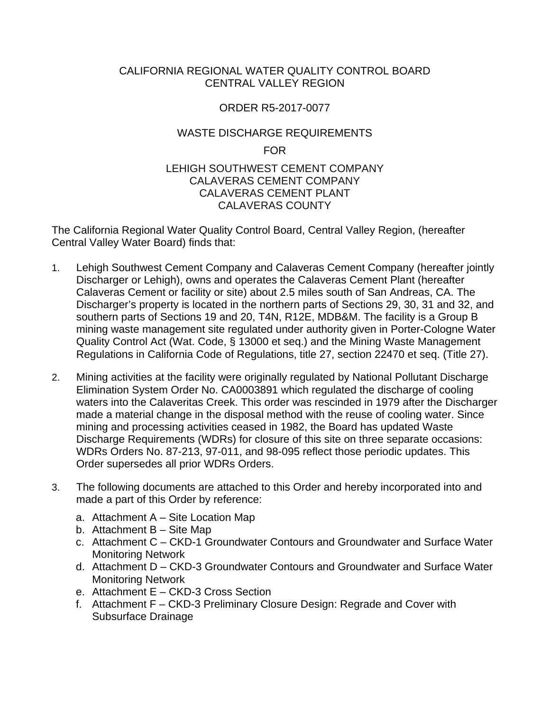### CALIFORNIA REGIONAL WATER QUALITY CONTROL BOARD CENTRAL VALLEY REGION

# ORDER R5-2017-0077

# WASTE DISCHARGE REQUIREMENTS

FOR

### LEHIGH SOUTHWEST CEMENT COMPANY CALAVERAS CEMENT COMPANY CALAVERAS CEMENT PLANT CALAVERAS COUNTY

The California Regional Water Quality Control Board, Central Valley Region, (hereafter Central Valley Water Board) finds that:

- 1. Lehigh Southwest Cement Company and Calaveras Cement Company (hereafter jointly Discharger or Lehigh), owns and operates the Calaveras Cement Plant (hereafter Calaveras Cement or facility or site) about 2.5 miles south of San Andreas, CA. The Discharger's property is located in the northern parts of Sections 29, 30, 31 and 32, and southern parts of Sections 19 and 20, T4N, R12E, MDB&M. The facility is a Group B mining waste management site regulated under authority given in Porter-Cologne Water Quality Control Act (Wat. Code, § 13000 et seq.) and the Mining Waste Management Regulations in California Code of Regulations, title 27, section 22470 et seq. (Title 27).
- 2. Mining activities at the facility were originally regulated by National Pollutant Discharge Elimination System Order No. CA0003891 which regulated the discharge of cooling waters into the Calaveritas Creek. This order was rescinded in 1979 after the Discharger made a material change in the disposal method with the reuse of cooling water. Since mining and processing activities ceased in 1982, the Board has updated Waste Discharge Requirements (WDRs) for closure of this site on three separate occasions: WDRs Orders No. 87-213, 97-011, and 98-095 reflect those periodic updates. This Order supersedes all prior WDRs Orders.
- 3. The following documents are attached to this Order and hereby incorporated into and made a part of this Order by reference:
	- a. Attachment A Site Location Map
	- b. Attachment B Site Map
	- c. Attachment C CKD-1 Groundwater Contours and Groundwater and Surface Water Monitoring Network
	- d. Attachment D CKD-3 Groundwater Contours and Groundwater and Surface Water Monitoring Network
	- e. Attachment E CKD-3 Cross Section
	- f. Attachment F CKD-3 Preliminary Closure Design: Regrade and Cover with Subsurface Drainage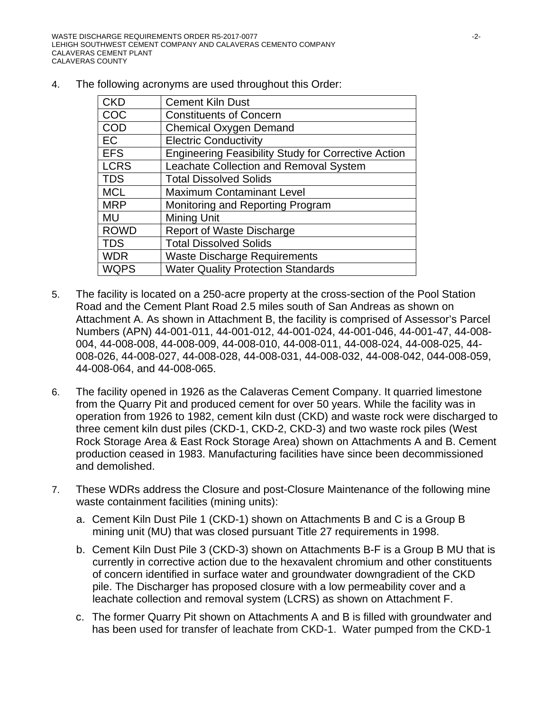4. The following acronyms are used throughout this Order:

| <b>CKD</b>  | <b>Cement Kiln Dust</b>                                    |
|-------------|------------------------------------------------------------|
| COC         | <b>Constituents of Concern</b>                             |
| <b>COD</b>  | <b>Chemical Oxygen Demand</b>                              |
| <b>EC</b>   | <b>Electric Conductivity</b>                               |
| <b>EFS</b>  | <b>Engineering Feasibility Study for Corrective Action</b> |
| <b>LCRS</b> | Leachate Collection and Removal System                     |
| <b>TDS</b>  | <b>Total Dissolved Solids</b>                              |
| <b>MCL</b>  | <b>Maximum Contaminant Level</b>                           |
| <b>MRP</b>  | Monitoring and Reporting Program                           |
| <b>MU</b>   | Mining Unit                                                |
| <b>ROWD</b> | <b>Report of Waste Discharge</b>                           |
| <b>TDS</b>  | <b>Total Dissolved Solids</b>                              |
| <b>WDR</b>  | <b>Waste Discharge Requirements</b>                        |
| <b>WQPS</b> | <b>Water Quality Protection Standards</b>                  |

- 5. The facility is located on a 250-acre property at the cross-section of the Pool Station Road and the Cement Plant Road 2.5 miles south of San Andreas as shown on Attachment A. As shown in Attachment B, the facility is comprised of Assessor's Parcel Numbers (APN) 44-001-011, 44-001-012, 44-001-024, 44-001-046, 44-001-47, 44-008- 004, 44-008-008, 44-008-009, 44-008-010, 44-008-011, 44-008-024, 44-008-025, 44- 008-026, 44-008-027, 44-008-028, 44-008-031, 44-008-032, 44-008-042, 044-008-059, 44-008-064, and 44-008-065.
- 6. The facility opened in 1926 as the Calaveras Cement Company. It quarried limestone from the Quarry Pit and produced cement for over 50 years. While the facility was in operation from 1926 to 1982, cement kiln dust (CKD) and waste rock were discharged to three cement kiln dust piles (CKD-1, CKD-2, CKD-3) and two waste rock piles (West Rock Storage Area & East Rock Storage Area) shown on Attachments A and B. Cement production ceased in 1983. Manufacturing facilities have since been decommissioned and demolished.
- 7. These WDRs address the Closure and post-Closure Maintenance of the following mine waste containment facilities (mining units):
	- a. Cement Kiln Dust Pile 1 (CKD-1) shown on Attachments B and C is a Group B mining unit (MU) that was closed pursuant Title 27 requirements in 1998.
	- b. Cement Kiln Dust Pile 3 (CKD-3) shown on Attachments B-F is a Group B MU that is currently in corrective action due to the hexavalent chromium and other constituents of concern identified in surface water and groundwater downgradient of the CKD pile. The Discharger has proposed closure with a low permeability cover and a leachate collection and removal system (LCRS) as shown on Attachment F.
	- c. The former Quarry Pit shown on Attachments A and B is filled with groundwater and has been used for transfer of leachate from CKD-1. Water pumped from the CKD-1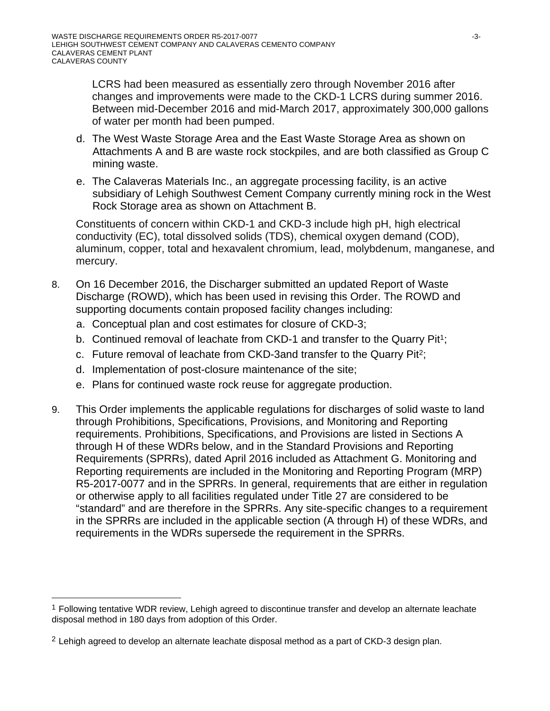LCRS had been measured as essentially zero through November 2016 after changes and improvements were made to the CKD-1 LCRS during summer 2016. Between mid-December 2016 and mid-March 2017, approximately 300,000 gallons of water per month had been pumped.

- d. The West Waste Storage Area and the East Waste Storage Area as shown on Attachments A and B are waste rock stockpiles, and are both classified as Group C mining waste.
- e. The Calaveras Materials Inc., an aggregate processing facility, is an active subsidiary of Lehigh Southwest Cement Company currently mining rock in the West Rock Storage area as shown on Attachment B.

Constituents of concern within CKD-1 and CKD-3 include high pH, high electrical conductivity (EC), total dissolved solids (TDS), chemical oxygen demand (COD), aluminum, copper, total and hexavalent chromium, lead, molybdenum, manganese, and mercury.

- 8. On 16 December 2016, the Discharger submitted an updated Report of Waste Discharge (ROWD), which has been used in revising this Order. The ROWD and supporting documents contain proposed facility changes including:
	- a. Conceptual plan and cost estimates for closure of CKD-3;
	- b. Continued removal of leachate from CKD-1 and transfer to the Quarry Pit<sup>1</sup>;
	- c. Future removal of leachate from CKD-3and transfer to the Quarry Pit2;
	- d. Implementation of post-closure maintenance of the site;
	- e. Plans for continued waste rock reuse for aggregate production.
- 9. This Order implements the applicable regulations for discharges of solid waste to land through Prohibitions, Specifications, Provisions, and Monitoring and Reporting requirements. Prohibitions, Specifications, and Provisions are listed in Sections A through H of these WDRs below, and in the Standard Provisions and Reporting Requirements (SPRRs), dated April 2016 included as Attachment G. Monitoring and Reporting requirements are included in the Monitoring and Reporting Program (MRP) R5-2017-0077 and in the SPRRs. In general, requirements that are either in regulation or otherwise apply to all facilities regulated under Title 27 are considered to be "standard" and are therefore in the SPRRs. Any site-specific changes to a requirement in the SPRRs are included in the applicable section (A through H) of these WDRs, and requirements in the WDRs supersede the requirement in the SPRRs.

 $\overline{a}$ 

<sup>&</sup>lt;sup>1</sup> Following tentative WDR review, Lehigh agreed to discontinue transfer and develop an alternate leachate disposal method in 180 days from adoption of this Order.

 $2$  Lehigh agreed to develop an alternate leachate disposal method as a part of CKD-3 design plan.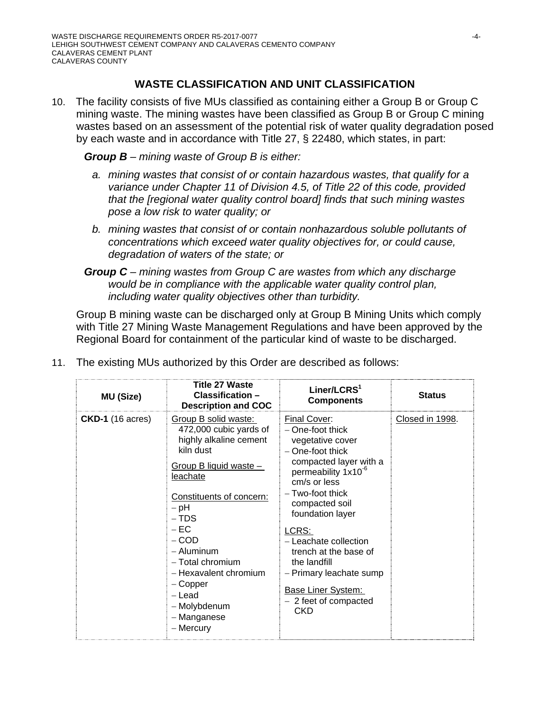# **WASTE CLASSIFICATION AND UNIT CLASSIFICATION**

10. The facility consists of five MUs classified as containing either a Group B or Group C mining waste. The mining wastes have been classified as Group B or Group C mining wastes based on an assessment of the potential risk of water quality degradation posed by each waste and in accordance with Title 27, § 22480, which states, in part:

*Group B – mining waste of Group B is either:* 

- *a. mining wastes that consist of or contain hazardous wastes, that qualify for a variance under Chapter 11 of Division 4.5, of Title 22 of this code, provided that the [regional water quality control board] finds that such mining wastes pose a low risk to water quality; or*
- *b. mining wastes that consist of or contain nonhazardous soluble pollutants of concentrations which exceed water quality objectives for, or could cause, degradation of waters of the state; or*
- *Group C mining wastes from Group C are wastes from which any discharge would be in compliance with the applicable water quality control plan, including water quality objectives other than turbidity.*

 Group B mining waste can be discharged only at Group B Mining Units which comply with Title 27 Mining Waste Management Regulations and have been approved by the Regional Board for containment of the particular kind of waste to be discharged.

| <b>MU (Size)</b>        | <b>Title 27 Waste</b><br>Classification -<br><b>Description and COC</b>                                                                                                                                                                                                                                                         | Liner/LCRS <sup>1</sup><br><b>Components</b>                                                                                                                                                                                                                                                                                                                                          | <b>Status</b>   |
|-------------------------|---------------------------------------------------------------------------------------------------------------------------------------------------------------------------------------------------------------------------------------------------------------------------------------------------------------------------------|---------------------------------------------------------------------------------------------------------------------------------------------------------------------------------------------------------------------------------------------------------------------------------------------------------------------------------------------------------------------------------------|-----------------|
| <b>CKD-1</b> (16 acres) | Group B solid waste:<br>472,000 cubic yards of<br>highly alkaline cement<br>kiln dust<br>Group B liquid waste -<br>leachate<br>Constituents of concern:<br>$-$ pH<br>$- TDS$<br>$-EC$<br>$-$ COD<br>- Aluminum<br>- Total chromium<br>- Hexavalent chromium<br>$-$ Copper<br>- Lead<br>- Molybdenum<br>- Manganese<br>- Mercury | Final Cover:<br>$-$ One-foot thick<br>vegetative cover<br>- One-foot thick<br>compacted layer with a<br>permeability 1x10 <sup>-6</sup><br>cm/s or less<br>- Two-foot thick<br>compacted soil<br>foundation layer<br>LCRS:<br>- Leachate collection<br>trench at the base of<br>the landfill<br>- Primary leachate sump<br><b>Base Liner System:</b><br>$-2$ feet of compacted<br>CKD | Closed in 1998. |

11. The existing MUs authorized by this Order are described as follows: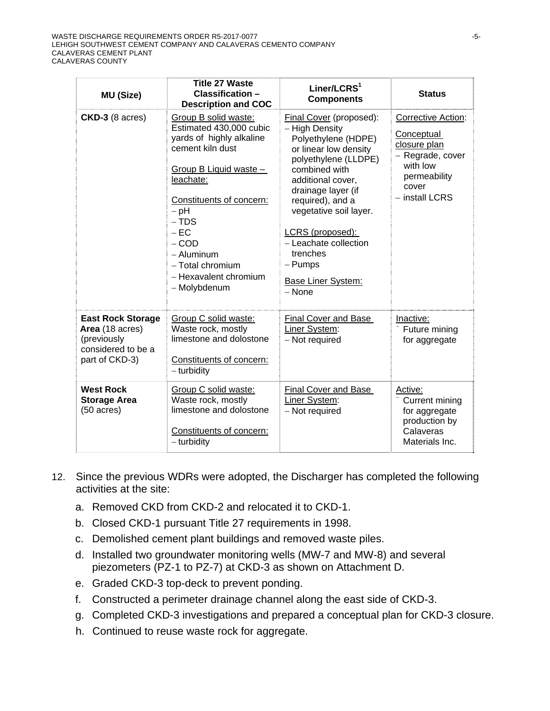| MU (Size)                                                                                          | <b>Title 27 Waste</b><br>Classification -<br><b>Description and COC</b>                                                                                                                                                                                                                | Liner/LCRS <sup>1</sup><br><b>Components</b>                                                                                                                                                                                                                                                                                             | <b>Status</b>                                                                                                               |
|----------------------------------------------------------------------------------------------------|----------------------------------------------------------------------------------------------------------------------------------------------------------------------------------------------------------------------------------------------------------------------------------------|------------------------------------------------------------------------------------------------------------------------------------------------------------------------------------------------------------------------------------------------------------------------------------------------------------------------------------------|-----------------------------------------------------------------------------------------------------------------------------|
| $CKD-3$ (8 acres)                                                                                  | Group B solid waste:<br>Estimated 430,000 cubic<br>yards of highly alkaline<br>cement kiln dust<br>Group B Liquid waste -<br>leachate:<br>Constituents of concern:<br>$-$ pH<br>$- TDS$<br>$-EC$<br>$-$ COD<br>- Aluminum<br>- Total chromium<br>- Hexavalent chromium<br>- Molybdenum | Final Cover (proposed):<br>- High Density<br>Polyethylene (HDPE)<br>or linear low density<br>polyethylene (LLDPE)<br>combined with<br>additional cover,<br>drainage layer (if<br>required), and a<br>vegetative soil layer.<br>LCRS (proposed):<br>- Leachate collection<br>trenches<br>- Pumps<br><b>Base Liner System:</b><br>$-$ None | Corrective Action:<br>Conceptual<br>closure plan<br>- Regrade, cover<br>with low<br>permeability<br>cover<br>- install LCRS |
| <b>East Rock Storage</b><br>Area (18 acres)<br>(previously<br>considered to be a<br>part of CKD-3) | Group C solid waste:<br>Waste rock, mostly<br>limestone and dolostone<br>Constituents of concern:<br>$-$ turbidity                                                                                                                                                                     | Final Cover and Base<br>Liner System:<br>- Not required                                                                                                                                                                                                                                                                                  | Inactive:<br>Future mining<br>for aggregate                                                                                 |
| <b>West Rock</b><br><b>Storage Area</b><br>$(50 \text{ acres})$                                    | Group C solid waste:<br>Waste rock, mostly<br>limestone and dolostone<br>Constituents of concern:<br>- turbidity                                                                                                                                                                       | Final Cover and Base<br>Liner System:<br>- Not required                                                                                                                                                                                                                                                                                  | Active:<br>Current mining<br>for aggregate<br>production by<br>Calaveras<br>Materials Inc.                                  |

- 12. Since the previous WDRs were adopted, the Discharger has completed the following activities at the site:
	- a. Removed CKD from CKD-2 and relocated it to CKD-1.
	- b. Closed CKD-1 pursuant Title 27 requirements in 1998.
	- c. Demolished cement plant buildings and removed waste piles.
	- d. Installed two groundwater monitoring wells (MW-7 and MW-8) and several piezometers (PZ-1 to PZ-7) at CKD-3 as shown on Attachment D.
	- e. Graded CKD-3 top-deck to prevent ponding.
	- f. Constructed a perimeter drainage channel along the east side of CKD-3.
	- g. Completed CKD-3 investigations and prepared a conceptual plan for CKD-3 closure.
	- h. Continued to reuse waste rock for aggregate.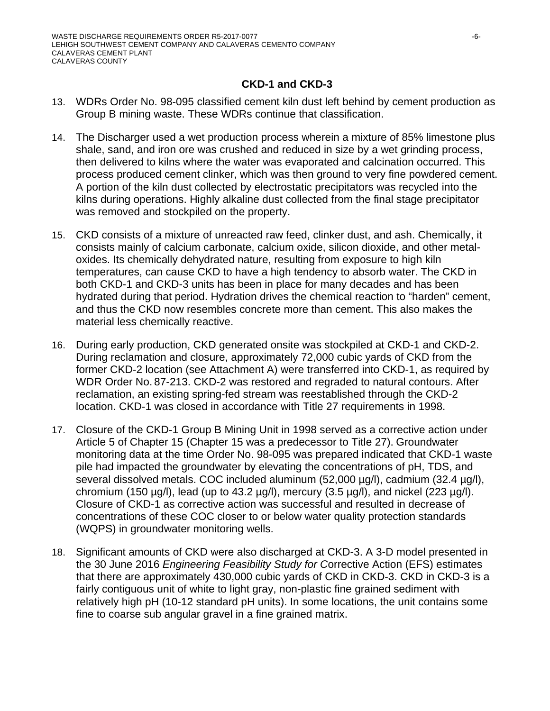# **CKD-1 and CKD-3**

- 13. WDRs Order No. 98-095 classified cement kiln dust left behind by cement production as Group B mining waste. These WDRs continue that classification.
- 14. The Discharger used a wet production process wherein a mixture of 85% limestone plus shale, sand, and iron ore was crushed and reduced in size by a wet grinding process, then delivered to kilns where the water was evaporated and calcination occurred. This process produced cement clinker, which was then ground to very fine powdered cement. A portion of the kiln dust collected by electrostatic precipitators was recycled into the kilns during operations. Highly alkaline dust collected from the final stage precipitator was removed and stockpiled on the property.
- 15. CKD consists of a mixture of unreacted raw feed, clinker dust, and ash. Chemically, it consists mainly of calcium carbonate, calcium oxide, silicon dioxide, and other metaloxides. Its chemically dehydrated nature, resulting from exposure to high kiln temperatures, can cause CKD to have a high tendency to absorb water. The CKD in both CKD-1 and CKD-3 units has been in place for many decades and has been hydrated during that period. Hydration drives the chemical reaction to "harden" cement, and thus the CKD now resembles concrete more than cement. This also makes the material less chemically reactive.
- 16. During early production, CKD generated onsite was stockpiled at CKD-1 and CKD-2. During reclamation and closure, approximately 72,000 cubic yards of CKD from the former CKD-2 location (see Attachment A) were transferred into CKD-1, as required by WDR Order No. 87-213. CKD-2 was restored and regraded to natural contours. After reclamation, an existing spring-fed stream was reestablished through the CKD-2 location. CKD-1 was closed in accordance with Title 27 requirements in 1998.
- 17. Closure of the CKD-1 Group B Mining Unit in 1998 served as a corrective action under Article 5 of Chapter 15 (Chapter 15 was a predecessor to Title 27). Groundwater monitoring data at the time Order No. 98-095 was prepared indicated that CKD-1 waste pile had impacted the groundwater by elevating the concentrations of pH, TDS, and several dissolved metals. COC included aluminum (52,000 µg/l), cadmium (32.4 µg/l), chromium (150  $\mu$ g/l), lead (up to 43.2  $\mu$ g/l), mercury (3.5  $\mu$ g/l), and nickel (223  $\mu$ g/l). Closure of CKD-1 as corrective action was successful and resulted in decrease of concentrations of these COC closer to or below water quality protection standards (WQPS) in groundwater monitoring wells.
- 18. Significant amounts of CKD were also discharged at CKD-3. A 3-D model presented in the 30 June 2016 *Engineering Feasibility Study for C*orrective Action (EFS) estimates that there are approximately 430,000 cubic yards of CKD in CKD-3. CKD in CKD-3 is a fairly contiguous unit of white to light gray, non-plastic fine grained sediment with relatively high pH (10-12 standard pH units). In some locations, the unit contains some fine to coarse sub angular gravel in a fine grained matrix.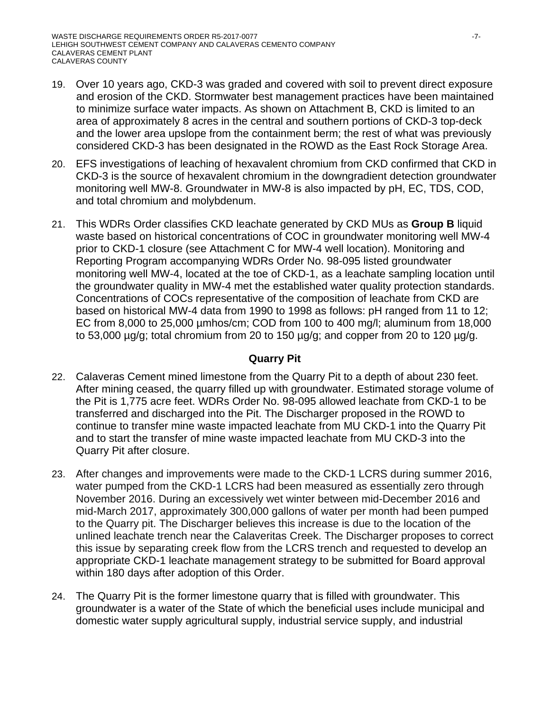- 19. Over 10 years ago, CKD-3 was graded and covered with soil to prevent direct exposure and erosion of the CKD. Stormwater best management practices have been maintained to minimize surface water impacts. As shown on Attachment B, CKD is limited to an area of approximately 8 acres in the central and southern portions of CKD-3 top-deck and the lower area upslope from the containment berm; the rest of what was previously considered CKD-3 has been designated in the ROWD as the East Rock Storage Area.
- 20. EFS investigations of leaching of hexavalent chromium from CKD confirmed that CKD in CKD-3 is the source of hexavalent chromium in the downgradient detection groundwater monitoring well MW-8. Groundwater in MW-8 is also impacted by pH, EC, TDS, COD, and total chromium and molybdenum.
- 21. This WDRs Order classifies CKD leachate generated by CKD MUs as **Group B** liquid waste based on historical concentrations of COC in groundwater monitoring well MW-4 prior to CKD-1 closure (see Attachment C for MW-4 well location). Monitoring and Reporting Program accompanying WDRs Order No. 98-095 listed groundwater monitoring well MW-4, located at the toe of CKD-1, as a leachate sampling location until the groundwater quality in MW-4 met the established water quality protection standards. Concentrations of COCs representative of the composition of leachate from CKD are based on historical MW-4 data from 1990 to 1998 as follows: pH ranged from 11 to 12; EC from 8,000 to 25,000 µmhos/cm; COD from 100 to 400 mg/l; aluminum from 18,000 to 53,000 µg/g; total chromium from 20 to 150 µg/g; and copper from 20 to 120 µg/g.

### **Quarry Pit**

- 22. Calaveras Cement mined limestone from the Quarry Pit to a depth of about 230 feet. After mining ceased, the quarry filled up with groundwater. Estimated storage volume of the Pit is 1,775 acre feet. WDRs Order No. 98-095 allowed leachate from CKD-1 to be transferred and discharged into the Pit. The Discharger proposed in the ROWD to continue to transfer mine waste impacted leachate from MU CKD-1 into the Quarry Pit and to start the transfer of mine waste impacted leachate from MU CKD-3 into the Quarry Pit after closure.
- 23. After changes and improvements were made to the CKD-1 LCRS during summer 2016, water pumped from the CKD-1 LCRS had been measured as essentially zero through November 2016. During an excessively wet winter between mid-December 2016 and mid-March 2017, approximately 300,000 gallons of water per month had been pumped to the Quarry pit. The Discharger believes this increase is due to the location of the unlined leachate trench near the Calaveritas Creek. The Discharger proposes to correct this issue by separating creek flow from the LCRS trench and requested to develop an appropriate CKD-1 leachate management strategy to be submitted for Board approval within 180 days after adoption of this Order.
- 24. The Quarry Pit is the former limestone quarry that is filled with groundwater. This groundwater is a water of the State of which the beneficial uses include municipal and domestic water supply agricultural supply, industrial service supply, and industrial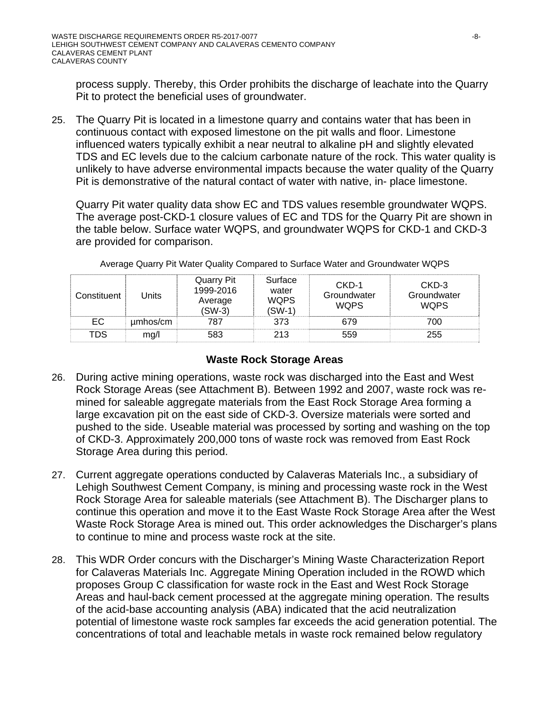process supply. Thereby, this Order prohibits the discharge of leachate into the Quarry Pit to protect the beneficial uses of groundwater.

25. The Quarry Pit is located in a limestone quarry and contains water that has been in continuous contact with exposed limestone on the pit walls and floor. Limestone influenced waters typically exhibit a near neutral to alkaline pH and slightly elevated TDS and EC levels due to the calcium carbonate nature of the rock. This water quality is unlikely to have adverse environmental impacts because the water quality of the Quarry Pit is demonstrative of the natural contact of water with native, in- place limestone.

Quarry Pit water quality data show EC and TDS values resemble groundwater WQPS. The average post-CKD-1 closure values of EC and TDS for the Quarry Pit are shown in the table below. Surface water WQPS, and groundwater WQPS for CKD-1 and CKD-3 are provided for comparison.

| Constituent | Units    | Quarry Pit<br>1999-2016<br>Average<br>$(SW-3)$ | Surface<br>water<br><b>WQPS</b><br>$(SW-1)$ | $CKD-1$<br>Groundwater<br><b>WQPS</b> | CKD-3<br>Groundwater<br><b>WQPS</b> |
|-------------|----------|------------------------------------------------|---------------------------------------------|---------------------------------------|-------------------------------------|
| EC          | umhos/cm | 787                                            | 373                                         | 679                                   | 700                                 |
| TDS         | mg/l     | 583                                            | 213                                         | 559                                   | 255                                 |

Average Quarry Pit Water Quality Compared to Surface Water and Groundwater WQPS

### **Waste Rock Storage Areas**

- 26. During active mining operations, waste rock was discharged into the East and West Rock Storage Areas (see Attachment B). Between 1992 and 2007, waste rock was remined for saleable aggregate materials from the East Rock Storage Area forming a large excavation pit on the east side of CKD-3. Oversize materials were sorted and pushed to the side. Useable material was processed by sorting and washing on the top of CKD-3. Approximately 200,000 tons of waste rock was removed from East Rock Storage Area during this period.
- 27. Current aggregate operations conducted by Calaveras Materials Inc., a subsidiary of Lehigh Southwest Cement Company, is mining and processing waste rock in the West Rock Storage Area for saleable materials (see Attachment B). The Discharger plans to continue this operation and move it to the East Waste Rock Storage Area after the West Waste Rock Storage Area is mined out. This order acknowledges the Discharger's plans to continue to mine and process waste rock at the site.
- 28. This WDR Order concurs with the Discharger's Mining Waste Characterization Report for Calaveras Materials Inc. Aggregate Mining Operation included in the ROWD which proposes Group C classification for waste rock in the East and West Rock Storage Areas and haul-back cement processed at the aggregate mining operation. The results of the acid-base accounting analysis (ABA) indicated that the acid neutralization potential of limestone waste rock samples far exceeds the acid generation potential. The concentrations of total and leachable metals in waste rock remained below regulatory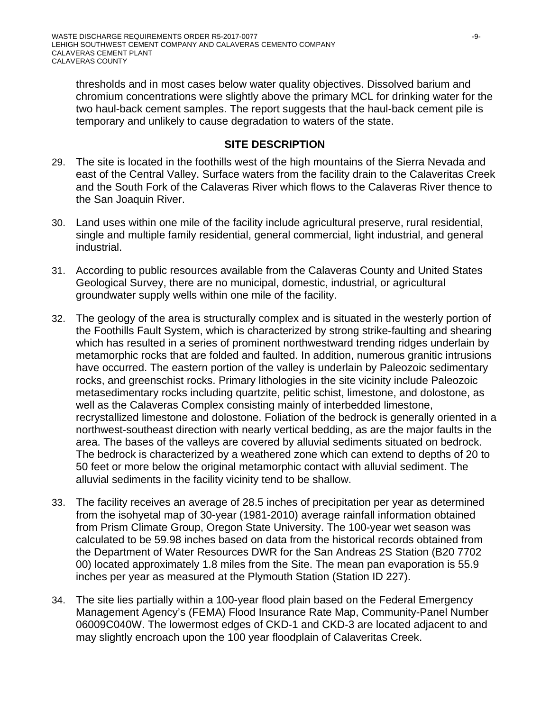thresholds and in most cases below water quality objectives. Dissolved barium and chromium concentrations were slightly above the primary MCL for drinking water for the two haul-back cement samples. The report suggests that the haul-back cement pile is temporary and unlikely to cause degradation to waters of the state.

### **SITE DESCRIPTION**

- 29. The site is located in the foothills west of the high mountains of the Sierra Nevada and east of the Central Valley. Surface waters from the facility drain to the Calaveritas Creek and the South Fork of the Calaveras River which flows to the Calaveras River thence to the San Joaquin River.
- 30. Land uses within one mile of the facility include agricultural preserve, rural residential, single and multiple family residential, general commercial, light industrial, and general industrial.
- 31. According to public resources available from the Calaveras County and United States Geological Survey, there are no municipal, domestic, industrial, or agricultural groundwater supply wells within one mile of the facility.
- 32. The geology of the area is structurally complex and is situated in the westerly portion of the Foothills Fault System, which is characterized by strong strike-faulting and shearing which has resulted in a series of prominent northwestward trending ridges underlain by metamorphic rocks that are folded and faulted. In addition, numerous granitic intrusions have occurred. The eastern portion of the valley is underlain by Paleozoic sedimentary rocks, and greenschist rocks. Primary lithologies in the site vicinity include Paleozoic metasedimentary rocks including quartzite, pelitic schist, limestone, and dolostone, as well as the Calaveras Complex consisting mainly of interbedded limestone, recrystallized limestone and dolostone. Foliation of the bedrock is generally oriented in a northwest-southeast direction with nearly vertical bedding, as are the major faults in the area. The bases of the valleys are covered by alluvial sediments situated on bedrock. The bedrock is characterized by a weathered zone which can extend to depths of 20 to 50 feet or more below the original metamorphic contact with alluvial sediment. The alluvial sediments in the facility vicinity tend to be shallow.
- 33. The facility receives an average of 28.5 inches of precipitation per year as determined from the isohyetal map of 30-year (1981-2010) average rainfall information obtained from Prism Climate Group, Oregon State University. The 100-year wet season was calculated to be 59.98 inches based on data from the historical records obtained from the Department of Water Resources DWR for the San Andreas 2S Station (B20 7702 00) located approximately 1.8 miles from the Site. The mean pan evaporation is 55.9 inches per year as measured at the Plymouth Station (Station ID 227).
- 34. The site lies partially within a 100-year flood plain based on the Federal Emergency Management Agency's (FEMA) Flood Insurance Rate Map, Community-Panel Number 06009C040W. The lowermost edges of CKD-1 and CKD-3 are located adjacent to and may slightly encroach upon the 100 year floodplain of Calaveritas Creek.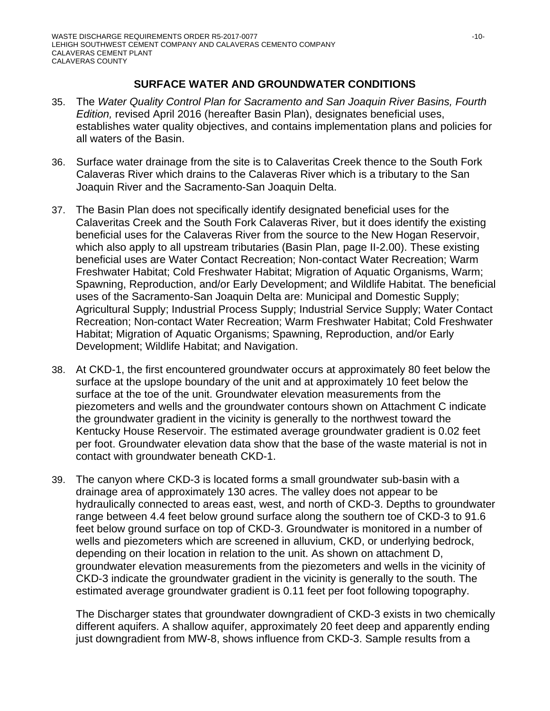# **SURFACE WATER AND GROUNDWATER CONDITIONS**

- 35. The *Water Quality Control Plan for Sacramento and San Joaquin River Basins, Fourth Edition,* revised April 2016 (hereafter Basin Plan), designates beneficial uses, establishes water quality objectives, and contains implementation plans and policies for all waters of the Basin.
- 36. Surface water drainage from the site is to Calaveritas Creek thence to the South Fork Calaveras River which drains to the Calaveras River which is a tributary to the San Joaquin River and the Sacramento-San Joaquin Delta.
- 37. The Basin Plan does not specifically identify designated beneficial uses for the Calaveritas Creek and the South Fork Calaveras River, but it does identify the existing beneficial uses for the Calaveras River from the source to the New Hogan Reservoir, which also apply to all upstream tributaries (Basin Plan, page II-2.00). These existing beneficial uses are Water Contact Recreation; Non-contact Water Recreation; Warm Freshwater Habitat; Cold Freshwater Habitat; Migration of Aquatic Organisms, Warm; Spawning, Reproduction, and/or Early Development; and Wildlife Habitat. The beneficial uses of the Sacramento-San Joaquin Delta are: Municipal and Domestic Supply; Agricultural Supply; Industrial Process Supply; Industrial Service Supply; Water Contact Recreation; Non-contact Water Recreation; Warm Freshwater Habitat; Cold Freshwater Habitat; Migration of Aquatic Organisms; Spawning, Reproduction, and/or Early Development; Wildlife Habitat; and Navigation.
- 38. At CKD-1, the first encountered groundwater occurs at approximately 80 feet below the surface at the upslope boundary of the unit and at approximately 10 feet below the surface at the toe of the unit. Groundwater elevation measurements from the piezometers and wells and the groundwater contours shown on Attachment C indicate the groundwater gradient in the vicinity is generally to the northwest toward the Kentucky House Reservoir. The estimated average groundwater gradient is 0.02 feet per foot. Groundwater elevation data show that the base of the waste material is not in contact with groundwater beneath CKD-1.
- 39. The canyon where CKD-3 is located forms a small groundwater sub-basin with a drainage area of approximately 130 acres. The valley does not appear to be hydraulically connected to areas east, west, and north of CKD-3. Depths to groundwater range between 4.4 feet below ground surface along the southern toe of CKD-3 to 91.6 feet below ground surface on top of CKD-3. Groundwater is monitored in a number of wells and piezometers which are screened in alluvium, CKD, or underlying bedrock, depending on their location in relation to the unit. As shown on attachment D, groundwater elevation measurements from the piezometers and wells in the vicinity of CKD-3 indicate the groundwater gradient in the vicinity is generally to the south. The estimated average groundwater gradient is 0.11 feet per foot following topography.

The Discharger states that groundwater downgradient of CKD-3 exists in two chemically different aquifers. A shallow aquifer, approximately 20 feet deep and apparently ending just downgradient from MW-8, shows influence from CKD-3. Sample results from a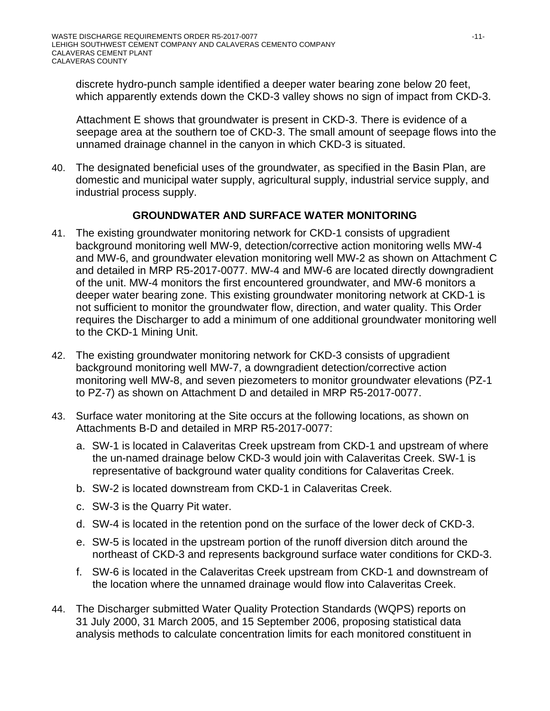discrete hydro-punch sample identified a deeper water bearing zone below 20 feet, which apparently extends down the CKD-3 valley shows no sign of impact from CKD-3.

Attachment E shows that groundwater is present in CKD-3. There is evidence of a seepage area at the southern toe of CKD-3. The small amount of seepage flows into the unnamed drainage channel in the canyon in which CKD-3 is situated.

40. The designated beneficial uses of the groundwater, as specified in the Basin Plan, are domestic and municipal water supply, agricultural supply, industrial service supply, and industrial process supply.

# **GROUNDWATER AND SURFACE WATER MONITORING**

- 41. The existing groundwater monitoring network for CKD-1 consists of upgradient background monitoring well MW-9, detection/corrective action monitoring wells MW-4 and MW-6, and groundwater elevation monitoring well MW-2 as shown on Attachment C and detailed in MRP R5-2017-0077. MW-4 and MW-6 are located directly downgradient of the unit. MW-4 monitors the first encountered groundwater, and MW-6 monitors a deeper water bearing zone. This existing groundwater monitoring network at CKD-1 is not sufficient to monitor the groundwater flow, direction, and water quality. This Order requires the Discharger to add a minimum of one additional groundwater monitoring well to the CKD-1 Mining Unit.
- 42. The existing groundwater monitoring network for CKD-3 consists of upgradient background monitoring well MW-7, a downgradient detection/corrective action monitoring well MW-8, and seven piezometers to monitor groundwater elevations (PZ-1 to PZ-7) as shown on Attachment D and detailed in MRP R5-2017-0077.
- 43. Surface water monitoring at the Site occurs at the following locations, as shown on Attachments B-D and detailed in MRP R5-2017-0077:
	- a. SW-1 is located in Calaveritas Creek upstream from CKD-1 and upstream of where the un-named drainage below CKD-3 would join with Calaveritas Creek. SW-1 is representative of background water quality conditions for Calaveritas Creek.
	- b. SW-2 is located downstream from CKD-1 in Calaveritas Creek.
	- c. SW-3 is the Quarry Pit water.
	- d. SW-4 is located in the retention pond on the surface of the lower deck of CKD-3.
	- e. SW-5 is located in the upstream portion of the runoff diversion ditch around the northeast of CKD-3 and represents background surface water conditions for CKD-3.
	- f. SW-6 is located in the Calaveritas Creek upstream from CKD-1 and downstream of the location where the unnamed drainage would flow into Calaveritas Creek.
- 44. The Discharger submitted Water Quality Protection Standards (WQPS) reports on 31 July 2000, 31 March 2005, and 15 September 2006, proposing statistical data analysis methods to calculate concentration limits for each monitored constituent in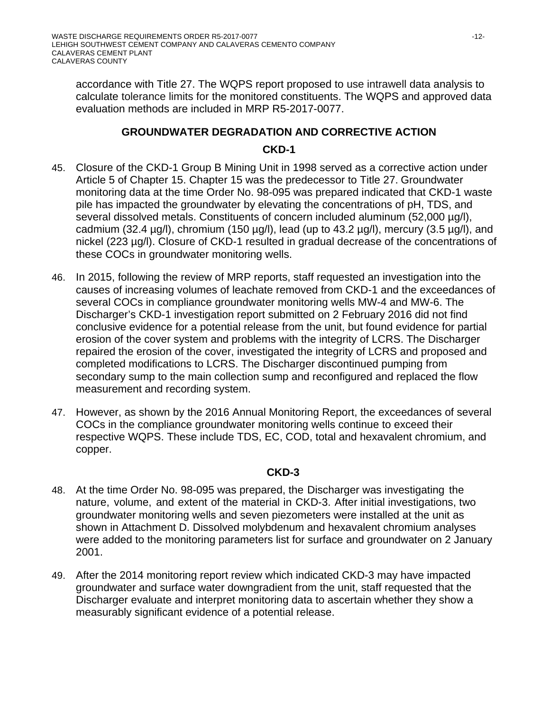accordance with Title 27. The WQPS report proposed to use intrawell data analysis to calculate tolerance limits for the monitored constituents. The WQPS and approved data evaluation methods are included in MRP R5-2017-0077.

# **GROUNDWATER DEGRADATION AND CORRECTIVE ACTION CKD-1**

- 45. Closure of the CKD-1 Group B Mining Unit in 1998 served as a corrective action under Article 5 of Chapter 15. Chapter 15 was the predecessor to Title 27. Groundwater monitoring data at the time Order No. 98-095 was prepared indicated that CKD-1 waste pile has impacted the groundwater by elevating the concentrations of pH, TDS, and several dissolved metals. Constituents of concern included aluminum (52,000 µg/l), cadmium (32.4  $\mu$ g/l), chromium (150  $\mu$ g/l), lead (up to 43.2  $\mu$ g/l), mercury (3.5  $\mu$ g/l), and nickel (223 µg/l). Closure of CKD-1 resulted in gradual decrease of the concentrations of these COCs in groundwater monitoring wells.
- 46. In 2015, following the review of MRP reports, staff requested an investigation into the causes of increasing volumes of leachate removed from CKD-1 and the exceedances of several COCs in compliance groundwater monitoring wells MW-4 and MW-6. The Discharger's CKD-1 investigation report submitted on 2 February 2016 did not find conclusive evidence for a potential release from the unit, but found evidence for partial erosion of the cover system and problems with the integrity of LCRS. The Discharger repaired the erosion of the cover, investigated the integrity of LCRS and proposed and completed modifications to LCRS. The Discharger discontinued pumping from secondary sump to the main collection sump and reconfigured and replaced the flow measurement and recording system.
- 47. However, as shown by the 2016 Annual Monitoring Report, the exceedances of several COCs in the compliance groundwater monitoring wells continue to exceed their respective WQPS. These include TDS, EC, COD, total and hexavalent chromium, and copper.

#### **CKD-3**

- 48. At the time Order No. 98-095 was prepared, the Discharger was investigating the nature, volume, and extent of the material in CKD-3. After initial investigations, two groundwater monitoring wells and seven piezometers were installed at the unit as shown in Attachment D. Dissolved molybdenum and hexavalent chromium analyses were added to the monitoring parameters list for surface and groundwater on 2 January 2001.
- 49. After the 2014 monitoring report review which indicated CKD-3 may have impacted groundwater and surface water downgradient from the unit, staff requested that the Discharger evaluate and interpret monitoring data to ascertain whether they show a measurably significant evidence of a potential release.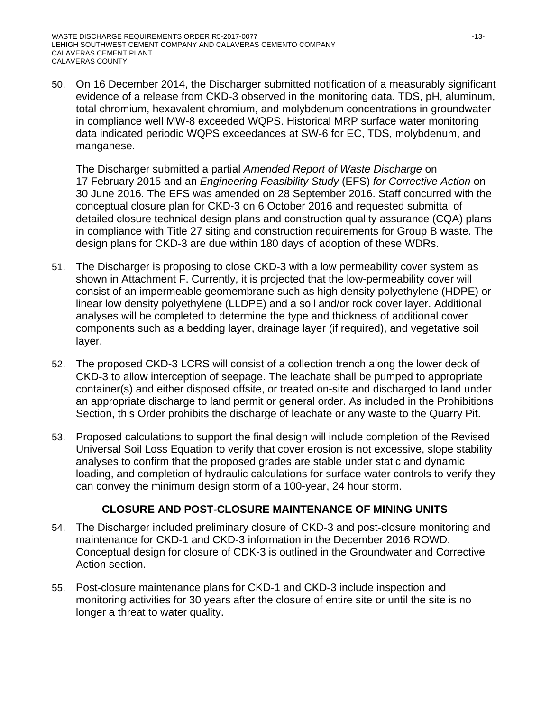50. On 16 December 2014, the Discharger submitted notification of a measurably significant evidence of a release from CKD-3 observed in the monitoring data. TDS, pH, aluminum, total chromium, hexavalent chromium, and molybdenum concentrations in groundwater in compliance well MW-8 exceeded WQPS. Historical MRP surface water monitoring data indicated periodic WQPS exceedances at SW-6 for EC, TDS, molybdenum, and manganese.

The Discharger submitted a partial *Amended Report of Waste Discharge* on 17 February 2015 and an *Engineering Feasibility Study* (EFS) *for Corrective Action* on 30 June 2016. The EFS was amended on 28 September 2016. Staff concurred with the conceptual closure plan for CKD-3 on 6 October 2016 and requested submittal of detailed closure technical design plans and construction quality assurance (CQA) plans in compliance with Title 27 siting and construction requirements for Group B waste. The design plans for CKD-3 are due within 180 days of adoption of these WDRs.

- 51. The Discharger is proposing to close CKD-3 with a low permeability cover system as shown in Attachment F. Currently, it is projected that the low-permeability cover will consist of an impermeable geomembrane such as high density polyethylene (HDPE) or linear low density polyethylene (LLDPE) and a soil and/or rock cover layer. Additional analyses will be completed to determine the type and thickness of additional cover components such as a bedding layer, drainage layer (if required), and vegetative soil layer.
- 52. The proposed CKD-3 LCRS will consist of a collection trench along the lower deck of CKD-3 to allow interception of seepage. The leachate shall be pumped to appropriate container(s) and either disposed offsite, or treated on-site and discharged to land under an appropriate discharge to land permit or general order. As included in the Prohibitions Section, this Order prohibits the discharge of leachate or any waste to the Quarry Pit.
- 53. Proposed calculations to support the final design will include completion of the Revised Universal Soil Loss Equation to verify that cover erosion is not excessive, slope stability analyses to confirm that the proposed grades are stable under static and dynamic loading, and completion of hydraulic calculations for surface water controls to verify they can convey the minimum design storm of a 100-year, 24 hour storm.

# **CLOSURE AND POST-CLOSURE MAINTENANCE OF MINING UNITS**

- 54. The Discharger included preliminary closure of CKD-3 and post-closure monitoring and maintenance for CKD-1 and CKD-3 information in the December 2016 ROWD. Conceptual design for closure of CDK-3 is outlined in the Groundwater and Corrective Action section.
- 55. Post-closure maintenance plans for CKD-1 and CKD-3 include inspection and monitoring activities for 30 years after the closure of entire site or until the site is no longer a threat to water quality.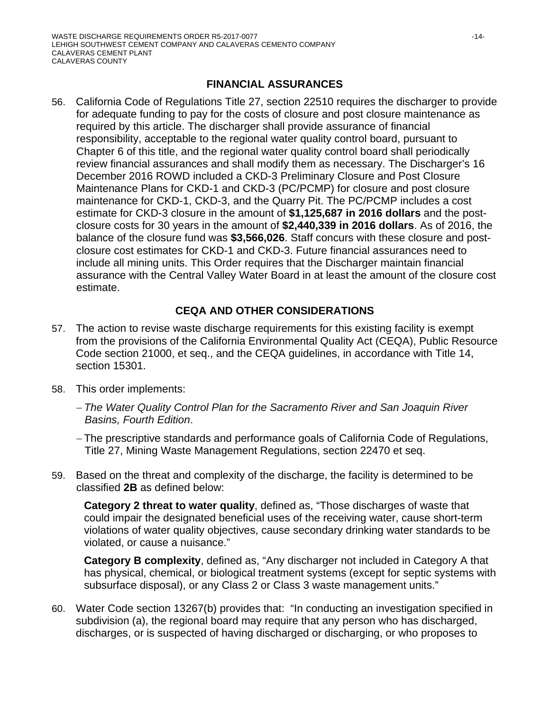### **FINANCIAL ASSURANCES**

56. California Code of Regulations Title 27, section 22510 requires the discharger to provide for adequate funding to pay for the costs of closure and post closure maintenance as required by this article. The discharger shall provide assurance of financial responsibility, acceptable to the regional water quality control board, pursuant to Chapter 6 of this title, and the regional water quality control board shall periodically review financial assurances and shall modify them as necessary. The Discharger's 16 December 2016 ROWD included a CKD-3 Preliminary Closure and Post Closure Maintenance Plans for CKD-1 and CKD-3 (PC/PCMP) for closure and post closure maintenance for CKD-1, CKD-3, and the Quarry Pit. The PC/PCMP includes a cost estimate for CKD-3 closure in the amount of **\$1,125,687 in 2016 dollars** and the postclosure costs for 30 years in the amount of **\$2,440,339 in 2016 dollars**. As of 2016, the balance of the closure fund was **\$3,566,026**. Staff concurs with these closure and postclosure cost estimates for CKD-1 and CKD-3. Future financial assurances need to include all mining units. This Order requires that the Discharger maintain financial assurance with the Central Valley Water Board in at least the amount of the closure cost estimate.

# **CEQA AND OTHER CONSIDERATIONS**

- 57. The action to revise waste discharge requirements for this existing facility is exempt from the provisions of the California Environmental Quality Act (CEQA), Public Resource Code section 21000, et seq., and the CEQA guidelines, in accordance with Title 14, section 15301.
- 58. This order implements:
	- *The Water Quality Control Plan for the Sacramento River and San Joaquin River Basins, Fourth Edition*.
	- The prescriptive standards and performance goals of California Code of Regulations, Title 27, Mining Waste Management Regulations, section 22470 et seq.
- 59. Based on the threat and complexity of the discharge, the facility is determined to be classified **2B** as defined below:

**Category 2 threat to water quality**, defined as, "Those discharges of waste that could impair the designated beneficial uses of the receiving water, cause short-term violations of water quality objectives, cause secondary drinking water standards to be violated, or cause a nuisance."

**Category B complexity**, defined as, "Any discharger not included in Category A that has physical, chemical, or biological treatment systems (except for septic systems with subsurface disposal), or any Class 2 or Class 3 waste management units."

60. Water Code section 13267(b) provides that: "In conducting an investigation specified in subdivision (a), the regional board may require that any person who has discharged, discharges, or is suspected of having discharged or discharging, or who proposes to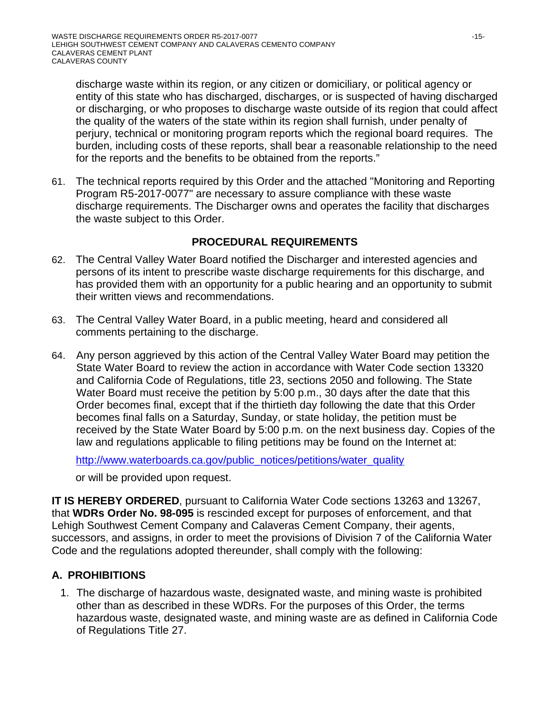discharge waste within its region, or any citizen or domiciliary, or political agency or entity of this state who has discharged, discharges, or is suspected of having discharged or discharging, or who proposes to discharge waste outside of its region that could affect the quality of the waters of the state within its region shall furnish, under penalty of perjury, technical or monitoring program reports which the regional board requires. The burden, including costs of these reports, shall bear a reasonable relationship to the need for the reports and the benefits to be obtained from the reports."

61. The technical reports required by this Order and the attached "Monitoring and Reporting Program R5-2017-0077" are necessary to assure compliance with these waste discharge requirements. The Discharger owns and operates the facility that discharges the waste subject to this Order.

# **PROCEDURAL REQUIREMENTS**

- 62. The Central Valley Water Board notified the Discharger and interested agencies and persons of its intent to prescribe waste discharge requirements for this discharge, and has provided them with an opportunity for a public hearing and an opportunity to submit their written views and recommendations.
- 63. The Central Valley Water Board, in a public meeting, heard and considered all comments pertaining to the discharge.
- 64. Any person aggrieved by this action of the Central Valley Water Board may petition the State Water Board to review the action in accordance with Water Code section 13320 and California Code of Regulations, title 23, sections 2050 and following. The State Water Board must receive the petition by 5:00 p.m., 30 days after the date that this Order becomes final, except that if the thirtieth day following the date that this Order becomes final falls on a Saturday, Sunday, or state holiday, the petition must be received by the State Water Board by 5:00 p.m. on the next business day. Copies of the law and regulations applicable to filing petitions may be found on the Internet at:

http://www.waterboards.ca.gov/public\_notices/petitions/water\_quality

or will be provided upon request.

**IT IS HEREBY ORDERED**, pursuant to California Water Code sections 13263 and 13267, that **WDRs Order No. 98-095** is rescinded except for purposes of enforcement, and that Lehigh Southwest Cement Company and Calaveras Cement Company, their agents, successors, and assigns, in order to meet the provisions of Division 7 of the California Water Code and the regulations adopted thereunder, shall comply with the following:

# **A. PROHIBITIONS**

1. The discharge of hazardous waste, designated waste, and mining waste is prohibited other than as described in these WDRs. For the purposes of this Order, the terms hazardous waste, designated waste, and mining waste are as defined in California Code of Regulations Title 27.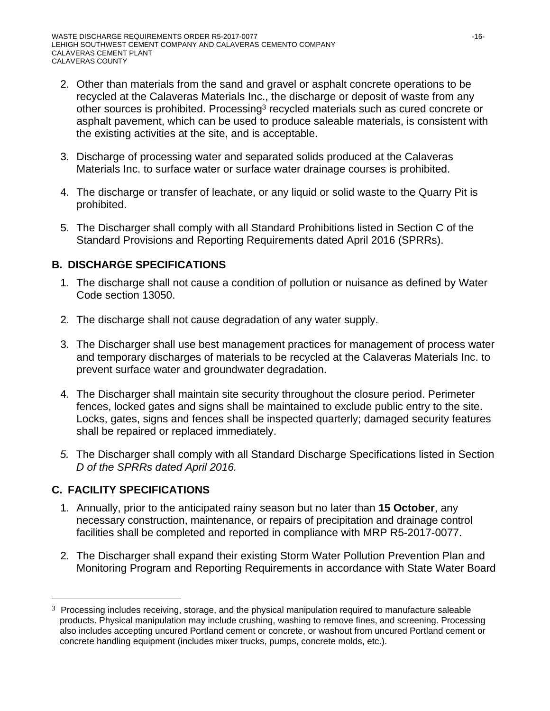- 2. Other than materials from the sand and gravel or asphalt concrete operations to be recycled at the Calaveras Materials Inc., the discharge or deposit of waste from any other sources is prohibited. Processing<sup>3</sup> recycled materials such as cured concrete or asphalt pavement, which can be used to produce saleable materials, is consistent with the existing activities at the site, and is acceptable.
- 3. Discharge of processing water and separated solids produced at the Calaveras Materials Inc. to surface water or surface water drainage courses is prohibited.
- 4. The discharge or transfer of leachate, or any liquid or solid waste to the Quarry Pit is prohibited.
- 5. The Discharger shall comply with all Standard Prohibitions listed in Section C of the Standard Provisions and Reporting Requirements dated April 2016 (SPRRs).

# **B. DISCHARGE SPECIFICATIONS**

- 1. The discharge shall not cause a condition of pollution or nuisance as defined by Water Code section 13050.
- 2. The discharge shall not cause degradation of any water supply.
- 3. The Discharger shall use best management practices for management of process water and temporary discharges of materials to be recycled at the Calaveras Materials Inc. to prevent surface water and groundwater degradation.
- 4. The Discharger shall maintain site security throughout the closure period. Perimeter fences, locked gates and signs shall be maintained to exclude public entry to the site. Locks, gates, signs and fences shall be inspected quarterly; damaged security features shall be repaired or replaced immediately.
- *5.* The Discharger shall comply with all Standard Discharge Specifications listed in Section *D of the SPRRs dated April 2016.*

# **C. FACILITY SPECIFICATIONS**

 $\overline{a}$ 

- 1. Annually, prior to the anticipated rainy season but no later than **15 October**, any necessary construction, maintenance, or repairs of precipitation and drainage control facilities shall be completed and reported in compliance with MRP R5-2017-0077.
- 2. The Discharger shall expand their existing Storm Water Pollution Prevention Plan and Monitoring Program and Reporting Requirements in accordance with State Water Board

 $3$  Processing includes receiving, storage, and the physical manipulation required to manufacture saleable products. Physical manipulation may include crushing, washing to remove fines, and screening. Processing also includes accepting uncured Portland cement or concrete, or washout from uncured Portland cement or concrete handling equipment (includes mixer trucks, pumps, concrete molds, etc.).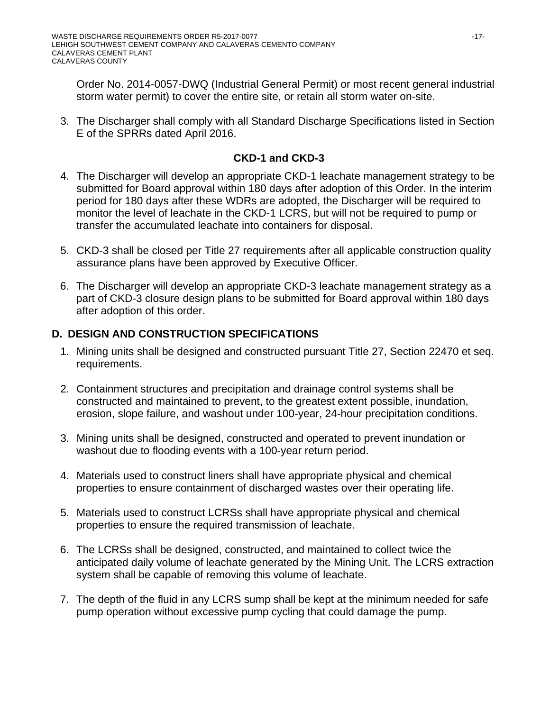Order No. 2014-0057-DWQ (Industrial General Permit) or most recent general industrial storm water permit) to cover the entire site, or retain all storm water on-site.

3. The Discharger shall comply with all Standard Discharge Specifications listed in Section E of the SPRRs dated April 2016.

# **CKD-1 and CKD-3**

- 4. The Discharger will develop an appropriate CKD-1 leachate management strategy to be submitted for Board approval within 180 days after adoption of this Order. In the interim period for 180 days after these WDRs are adopted, the Discharger will be required to monitor the level of leachate in the CKD-1 LCRS, but will not be required to pump or transfer the accumulated leachate into containers for disposal.
- 5. CKD-3 shall be closed per Title 27 requirements after all applicable construction quality assurance plans have been approved by Executive Officer.
- 6. The Discharger will develop an appropriate CKD-3 leachate management strategy as a part of CKD-3 closure design plans to be submitted for Board approval within 180 days after adoption of this order.

# **D. DESIGN AND CONSTRUCTION SPECIFICATIONS**

- 1. Mining units shall be designed and constructed pursuant Title 27, Section 22470 et seq. requirements.
- 2. Containment structures and precipitation and drainage control systems shall be constructed and maintained to prevent, to the greatest extent possible, inundation, erosion, slope failure, and washout under 100-year, 24-hour precipitation conditions.
- 3. Mining units shall be designed, constructed and operated to prevent inundation or washout due to flooding events with a 100-year return period.
- 4. Materials used to construct liners shall have appropriate physical and chemical properties to ensure containment of discharged wastes over their operating life.
- 5. Materials used to construct LCRSs shall have appropriate physical and chemical properties to ensure the required transmission of leachate.
- 6. The LCRSs shall be designed, constructed, and maintained to collect twice the anticipated daily volume of leachate generated by the Mining Unit. The LCRS extraction system shall be capable of removing this volume of leachate.
- 7. The depth of the fluid in any LCRS sump shall be kept at the minimum needed for safe pump operation without excessive pump cycling that could damage the pump.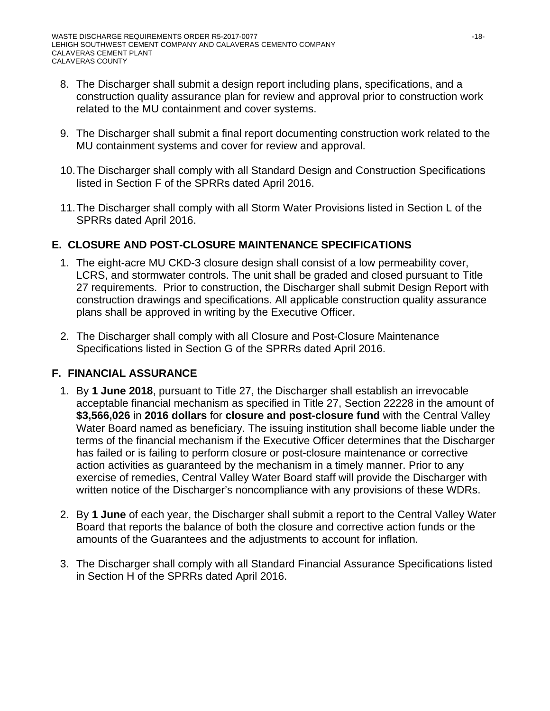- 8. The Discharger shall submit a design report including plans, specifications, and a construction quality assurance plan for review and approval prior to construction work related to the MU containment and cover systems.
- 9. The Discharger shall submit a final report documenting construction work related to the MU containment systems and cover for review and approval.
- 10. The Discharger shall comply with all Standard Design and Construction Specifications listed in Section F of the SPRRs dated April 2016.
- 11. The Discharger shall comply with all Storm Water Provisions listed in Section L of the SPRRs dated April 2016.

# **E. CLOSURE AND POST-CLOSURE MAINTENANCE SPECIFICATIONS**

- 1. The eight-acre MU CKD-3 closure design shall consist of a low permeability cover, LCRS, and stormwater controls. The unit shall be graded and closed pursuant to Title 27 requirements. Prior to construction, the Discharger shall submit Design Report with construction drawings and specifications. All applicable construction quality assurance plans shall be approved in writing by the Executive Officer.
- 2. The Discharger shall comply with all Closure and Post-Closure Maintenance Specifications listed in Section G of the SPRRs dated April 2016.

# **F. FINANCIAL ASSURANCE**

- 1. By **1 June 2018**, pursuant to Title 27, the Discharger shall establish an irrevocable acceptable financial mechanism as specified in Title 27, Section 22228 in the amount of **\$3,566,026** in **2016 dollars** for **closure and post-closure fund** with the Central Valley Water Board named as beneficiary. The issuing institution shall become liable under the terms of the financial mechanism if the Executive Officer determines that the Discharger has failed or is failing to perform closure or post-closure maintenance or corrective action activities as guaranteed by the mechanism in a timely manner. Prior to any exercise of remedies, Central Valley Water Board staff will provide the Discharger with written notice of the Discharger's noncompliance with any provisions of these WDRs.
- 2. By **1 June** of each year, the Discharger shall submit a report to the Central Valley Water Board that reports the balance of both the closure and corrective action funds or the amounts of the Guarantees and the adjustments to account for inflation.
- 3. The Discharger shall comply with all Standard Financial Assurance Specifications listed in Section H of the SPRRs dated April 2016.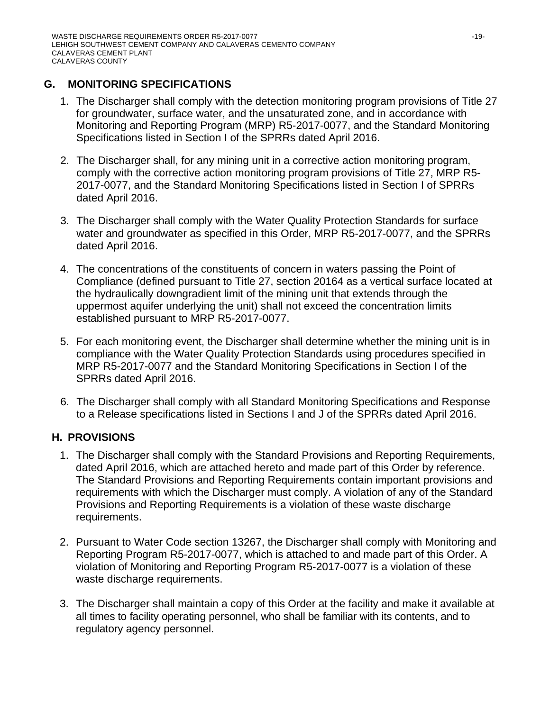# **G. MONITORING SPECIFICATIONS**

- 1. The Discharger shall comply with the detection monitoring program provisions of Title 27 for groundwater, surface water, and the unsaturated zone, and in accordance with Monitoring and Reporting Program (MRP) R5-2017-0077, and the Standard Monitoring Specifications listed in Section I of the SPRRs dated April 2016.
- 2. The Discharger shall, for any mining unit in a corrective action monitoring program, comply with the corrective action monitoring program provisions of Title 27, MRP R5- 2017-0077, and the Standard Monitoring Specifications listed in Section I of SPRRs dated April 2016.
- 3. The Discharger shall comply with the Water Quality Protection Standards for surface water and groundwater as specified in this Order, MRP R5-2017-0077, and the SPRRs dated April 2016.
- 4. The concentrations of the constituents of concern in waters passing the Point of Compliance (defined pursuant to Title 27, section 20164 as a vertical surface located at the hydraulically downgradient limit of the mining unit that extends through the uppermost aquifer underlying the unit) shall not exceed the concentration limits established pursuant to MRP R5-2017-0077.
- 5. For each monitoring event, the Discharger shall determine whether the mining unit is in compliance with the Water Quality Protection Standards using procedures specified in MRP R5-2017-0077 and the Standard Monitoring Specifications in Section I of the SPRRs dated April 2016.
- 6. The Discharger shall comply with all Standard Monitoring Specifications and Response to a Release specifications listed in Sections I and J of the SPRRs dated April 2016.

# **H. PROVISIONS**

- 1. The Discharger shall comply with the Standard Provisions and Reporting Requirements, dated April 2016, which are attached hereto and made part of this Order by reference. The Standard Provisions and Reporting Requirements contain important provisions and requirements with which the Discharger must comply. A violation of any of the Standard Provisions and Reporting Requirements is a violation of these waste discharge requirements.
- 2. Pursuant to Water Code section 13267, the Discharger shall comply with Monitoring and Reporting Program R5-2017-0077, which is attached to and made part of this Order. A violation of Monitoring and Reporting Program R5-2017-0077 is a violation of these waste discharge requirements.
- 3. The Discharger shall maintain a copy of this Order at the facility and make it available at all times to facility operating personnel, who shall be familiar with its contents, and to regulatory agency personnel.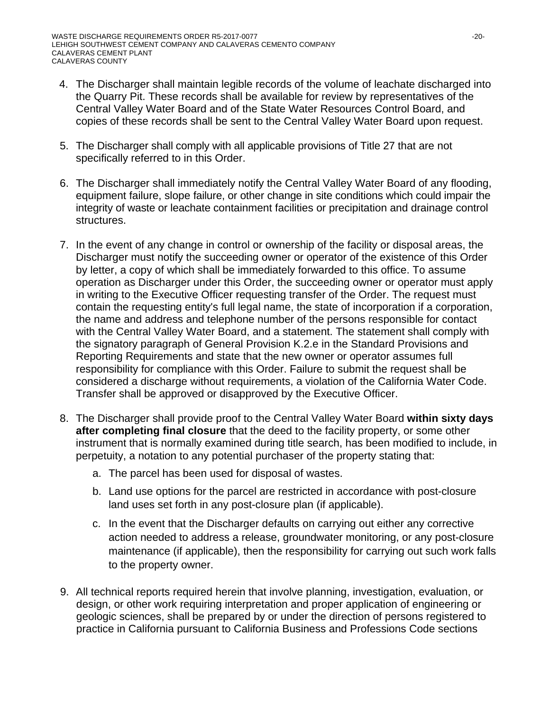- 4. The Discharger shall maintain legible records of the volume of leachate discharged into the Quarry Pit. These records shall be available for review by representatives of the Central Valley Water Board and of the State Water Resources Control Board, and copies of these records shall be sent to the Central Valley Water Board upon request.
- 5. The Discharger shall comply with all applicable provisions of Title 27 that are not specifically referred to in this Order.
- 6. The Discharger shall immediately notify the Central Valley Water Board of any flooding, equipment failure, slope failure, or other change in site conditions which could impair the integrity of waste or leachate containment facilities or precipitation and drainage control structures.
- 7. In the event of any change in control or ownership of the facility or disposal areas, the Discharger must notify the succeeding owner or operator of the existence of this Order by letter, a copy of which shall be immediately forwarded to this office. To assume operation as Discharger under this Order, the succeeding owner or operator must apply in writing to the Executive Officer requesting transfer of the Order. The request must contain the requesting entity's full legal name, the state of incorporation if a corporation, the name and address and telephone number of the persons responsible for contact with the Central Valley Water Board, and a statement. The statement shall comply with the signatory paragraph of General Provision K.2.e in the Standard Provisions and Reporting Requirements and state that the new owner or operator assumes full responsibility for compliance with this Order. Failure to submit the request shall be considered a discharge without requirements, a violation of the California Water Code. Transfer shall be approved or disapproved by the Executive Officer.
- 8. The Discharger shall provide proof to the Central Valley Water Board **within sixty days after completing final closure** that the deed to the facility property, or some other instrument that is normally examined during title search, has been modified to include, in perpetuity, a notation to any potential purchaser of the property stating that:
	- a. The parcel has been used for disposal of wastes.
	- b. Land use options for the parcel are restricted in accordance with post-closure land uses set forth in any post-closure plan (if applicable).
	- c. In the event that the Discharger defaults on carrying out either any corrective action needed to address a release, groundwater monitoring, or any post-closure maintenance (if applicable), then the responsibility for carrying out such work falls to the property owner.
- 9. All technical reports required herein that involve planning, investigation, evaluation, or design, or other work requiring interpretation and proper application of engineering or geologic sciences, shall be prepared by or under the direction of persons registered to practice in California pursuant to California Business and Professions Code sections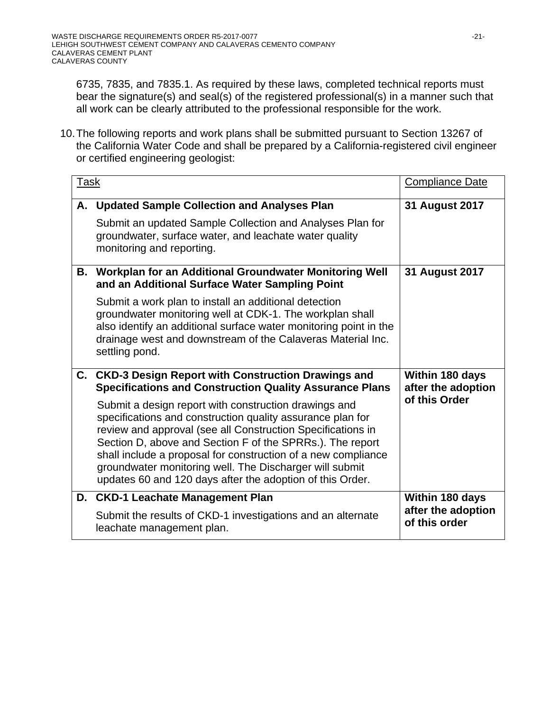6735, 7835, and 7835.1. As required by these laws, completed technical reports must bear the signature(s) and seal(s) of the registered professional(s) in a manner such that all work can be clearly attributed to the professional responsible for the work.

10. The following reports and work plans shall be submitted pursuant to Section 13267 of the California Water Code and shall be prepared by a California-registered civil engineer or certified engineering geologist:

| <u>Task</u> |                                                                                                                                                                                                                                                                                                                                                                                                                                          | <b>Compliance Date</b>                                 |
|-------------|------------------------------------------------------------------------------------------------------------------------------------------------------------------------------------------------------------------------------------------------------------------------------------------------------------------------------------------------------------------------------------------------------------------------------------------|--------------------------------------------------------|
| А.          | <b>Updated Sample Collection and Analyses Plan</b><br>Submit an updated Sample Collection and Analyses Plan for<br>groundwater, surface water, and leachate water quality<br>monitoring and reporting.                                                                                                                                                                                                                                   | 31 August 2017                                         |
| В.          | Workplan for an Additional Groundwater Monitoring Well<br>and an Additional Surface Water Sampling Point<br>Submit a work plan to install an additional detection<br>groundwater monitoring well at CDK-1. The workplan shall<br>also identify an additional surface water monitoring point in the<br>drainage west and downstream of the Calaveras Material Inc.                                                                        | 31 August 2017                                         |
| C.          | settling pond.<br><b>CKD-3 Design Report with Construction Drawings and</b><br><b>Specifications and Construction Quality Assurance Plans</b>                                                                                                                                                                                                                                                                                            | Within 180 days<br>after the adoption                  |
|             | Submit a design report with construction drawings and<br>specifications and construction quality assurance plan for<br>review and approval (see all Construction Specifications in<br>Section D, above and Section F of the SPRRs.). The report<br>shall include a proposal for construction of a new compliance<br>groundwater monitoring well. The Discharger will submit<br>updates 60 and 120 days after the adoption of this Order. | of this Order                                          |
| D.          | <b>CKD-1 Leachate Management Plan</b><br>Submit the results of CKD-1 investigations and an alternate<br>leachate management plan.                                                                                                                                                                                                                                                                                                        | Within 180 days<br>after the adoption<br>of this order |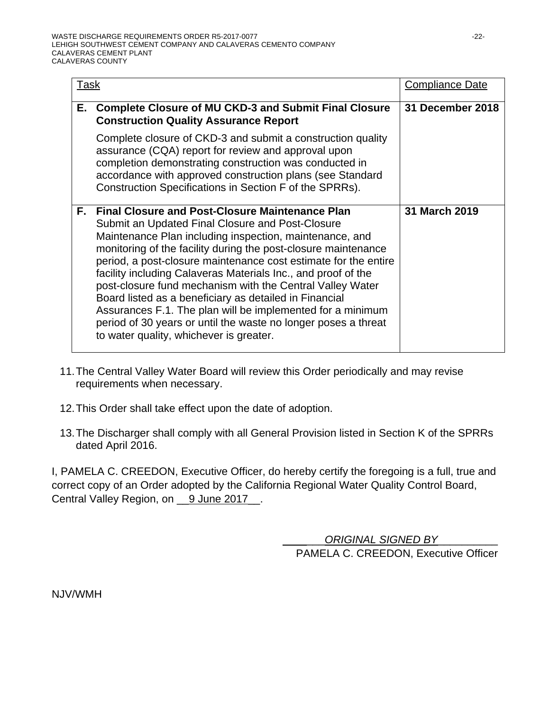| Task |                                                                                                                                                                                                                                                                                                                                                                                                                                                                                                                                                                                                                                                                               | <b>Compliance Date</b> |
|------|-------------------------------------------------------------------------------------------------------------------------------------------------------------------------------------------------------------------------------------------------------------------------------------------------------------------------------------------------------------------------------------------------------------------------------------------------------------------------------------------------------------------------------------------------------------------------------------------------------------------------------------------------------------------------------|------------------------|
| Е.   | <b>Complete Closure of MU CKD-3 and Submit Final Closure</b><br><b>Construction Quality Assurance Report</b>                                                                                                                                                                                                                                                                                                                                                                                                                                                                                                                                                                  | 31 December 2018       |
|      | Complete closure of CKD-3 and submit a construction quality<br>assurance (CQA) report for review and approval upon<br>completion demonstrating construction was conducted in<br>accordance with approved construction plans (see Standard<br>Construction Specifications in Section F of the SPRRs).                                                                                                                                                                                                                                                                                                                                                                          |                        |
| Е.   | <b>Final Closure and Post-Closure Maintenance Plan</b><br>Submit an Updated Final Closure and Post-Closure<br>Maintenance Plan including inspection, maintenance, and<br>monitoring of the facility during the post-closure maintenance<br>period, a post-closure maintenance cost estimate for the entire<br>facility including Calaveras Materials Inc., and proof of the<br>post-closure fund mechanism with the Central Valley Water<br>Board listed as a beneficiary as detailed in Financial<br>Assurances F.1. The plan will be implemented for a minimum<br>period of 30 years or until the waste no longer poses a threat<br>to water quality, whichever is greater. | 31 March 2019          |

- 11. The Central Valley Water Board will review this Order periodically and may revise requirements when necessary.
- 12. This Order shall take effect upon the date of adoption.
- 13. The Discharger shall comply with all General Provision listed in Section K of the SPRRs dated April 2016.

I, PAMELA C. CREEDON, Executive Officer, do hereby certify the foregoing is a full, true and correct copy of an Order adopted by the California Regional Water Quality Control Board, Central Valley Region, on \_\_9 June 2017\_\_.

> \_ \_\_\_\_*ORIGINAL SIGNED BY*\_\_\_\_\_\_\_\_\_\_ PAMELA C. CREEDON, Executive Officer

NJV/WMH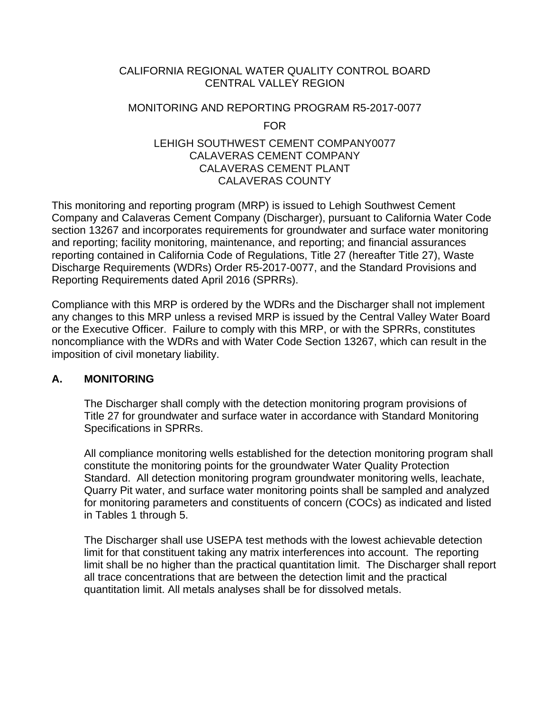### CALIFORNIA REGIONAL WATER QUALITY CONTROL BOARD CENTRAL VALLEY REGION

# MONITORING AND REPORTING PROGRAM R5-2017-0077 FOR

### LEHIGH SOUTHWEST CEMENT COMPANY0077 CALAVERAS CEMENT COMPANY CALAVERAS CEMENT PLANT CALAVERAS COUNTY

This monitoring and reporting program (MRP) is issued to Lehigh Southwest Cement Company and Calaveras Cement Company (Discharger), pursuant to California Water Code section 13267 and incorporates requirements for groundwater and surface water monitoring and reporting; facility monitoring, maintenance, and reporting; and financial assurances reporting contained in California Code of Regulations, Title 27 (hereafter Title 27), Waste Discharge Requirements (WDRs) Order R5-2017-0077, and the Standard Provisions and Reporting Requirements dated April 2016 (SPRRs).

Compliance with this MRP is ordered by the WDRs and the Discharger shall not implement any changes to this MRP unless a revised MRP is issued by the Central Valley Water Board or the Executive Officer. Failure to comply with this MRP, or with the SPRRs, constitutes noncompliance with the WDRs and with Water Code Section 13267, which can result in the imposition of civil monetary liability.

### **A. MONITORING**

The Discharger shall comply with the detection monitoring program provisions of Title 27 for groundwater and surface water in accordance with Standard Monitoring Specifications in SPRRs.

All compliance monitoring wells established for the detection monitoring program shall constitute the monitoring points for the groundwater Water Quality Protection Standard. All detection monitoring program groundwater monitoring wells, leachate, Quarry Pit water, and surface water monitoring points shall be sampled and analyzed for monitoring parameters and constituents of concern (COCs) as indicated and listed in Tables 1 through 5.

The Discharger shall use USEPA test methods with the lowest achievable detection limit for that constituent taking any matrix interferences into account. The reporting limit shall be no higher than the practical quantitation limit. The Discharger shall report all trace concentrations that are between the detection limit and the practical quantitation limit. All metals analyses shall be for dissolved metals.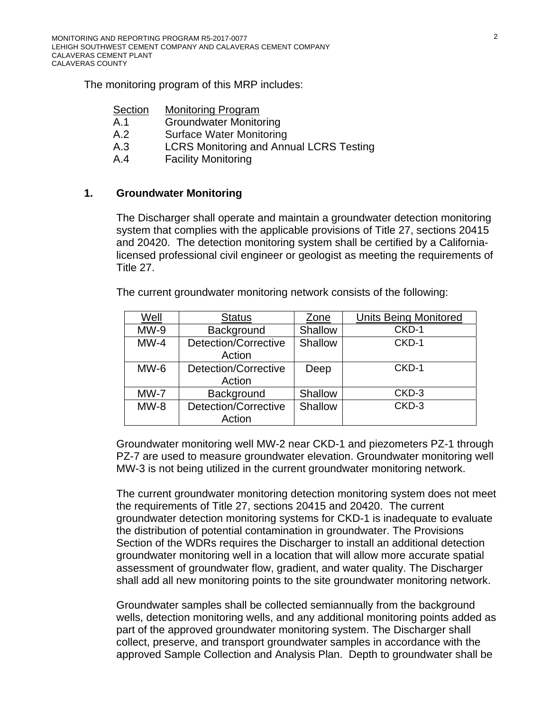The monitoring program of this MRP includes:

| Section | <b>Monitoring Program</b>                      |
|---------|------------------------------------------------|
| A.1     | <b>Groundwater Monitoring</b>                  |
| A.2     | <b>Surface Water Monitoring</b>                |
| A.3     | <b>LCRS Monitoring and Annual LCRS Testing</b> |
| A.4     | <b>Facility Monitoring</b>                     |

### **1. Groundwater Monitoring**

The Discharger shall operate and maintain a groundwater detection monitoring system that complies with the applicable provisions of Title 27, sections 20415 and 20420. The detection monitoring system shall be certified by a Californialicensed professional civil engineer or geologist as meeting the requirements of Title 27.

The current groundwater monitoring network consists of the following:

| Well   | <b>Status</b>               | Zone    | <b>Units Being Monitored</b> |
|--------|-----------------------------|---------|------------------------------|
| $MW-9$ | Background                  | Shallow | CKD-1                        |
| $MW-4$ | Detection/Corrective        | Shallow | CKD-1                        |
|        | Action                      |         |                              |
| $MW-6$ | Detection/Corrective        | Deep    | CKD-1                        |
|        | Action                      |         |                              |
| $MW-7$ | Background                  | Shallow | CKD-3                        |
| $MW-8$ | <b>Detection/Corrective</b> | Shallow | CKD-3                        |
|        | Action                      |         |                              |

Groundwater monitoring well MW-2 near CKD-1 and piezometers PZ-1 through PZ-7 are used to measure groundwater elevation. Groundwater monitoring well MW-3 is not being utilized in the current groundwater monitoring network.

The current groundwater monitoring detection monitoring system does not meet the requirements of Title 27, sections 20415 and 20420. The current groundwater detection monitoring systems for CKD-1 is inadequate to evaluate the distribution of potential contamination in groundwater. The Provisions Section of the WDRs requires the Discharger to install an additional detection groundwater monitoring well in a location that will allow more accurate spatial assessment of groundwater flow, gradient, and water quality. The Discharger shall add all new monitoring points to the site groundwater monitoring network.

Groundwater samples shall be collected semiannually from the background wells, detection monitoring wells, and any additional monitoring points added as part of the approved groundwater monitoring system. The Discharger shall collect, preserve, and transport groundwater samples in accordance with the approved Sample Collection and Analysis Plan. Depth to groundwater shall be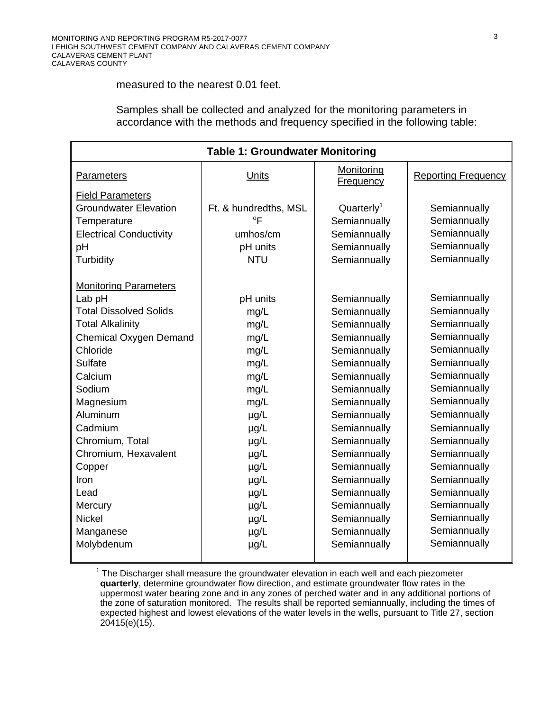#### measured to the nearest 0.01 feet.

Samples shall be collected and analyzed for the monitoring parameters in accordance with the methods and frequency specified in the following table:

| <b>Table 1: Groundwater Monitoring</b> |                       |                                |                            |
|----------------------------------------|-----------------------|--------------------------------|----------------------------|
| <b>Parameters</b>                      | Units                 | Monitoring<br><b>Frequency</b> | <b>Reporting Frequency</b> |
| <b>Field Parameters</b>                |                       |                                |                            |
| <b>Groundwater Elevation</b>           | Ft. & hundredths, MSL | Quarterly <sup>1</sup>         | Semiannually               |
| Temperature                            | $^{\circ}$ F          | Semiannually                   | Semiannually               |
| <b>Electrical Conductivity</b>         | umhos/cm              | Semiannually                   | Semiannually               |
| pH                                     | pH units              | Semiannually                   | Semiannually               |
| Turbidity                              | <b>NTU</b>            | Semiannually                   | Semiannually               |
| <b>Monitoring Parameters</b>           |                       |                                |                            |
| Lab pH                                 | pH units              | Semiannually                   | Semiannually               |
| <b>Total Dissolved Solids</b>          | mg/L                  | Semiannually                   | Semiannually               |
| <b>Total Alkalinity</b>                | mg/L                  | Semiannually                   | Semiannually               |
| <b>Chemical Oxygen Demand</b>          | mg/L                  | Semiannually                   | Semiannually               |
| Chloride                               | mg/L                  | Semiannually                   | Semiannually               |
| Sulfate                                | mg/L                  | Semiannually                   | Semiannually               |
| Calcium                                | mg/L                  | Semiannually                   | Semiannually               |
| Sodium                                 | mg/L                  | Semiannually                   | Semiannually               |
| Magnesium                              | mg/L                  | Semiannually                   | Semiannually               |
| Aluminum                               | $\mu$ g/L             | Semiannually                   | Semiannually               |
| Cadmium                                | $\mu$ g/L             | Semiannually                   | Semiannually               |
| Chromium, Total                        | $\mu$ g/L             | Semiannually                   | Semiannually               |
| Chromium, Hexavalent                   | $\mu$ g/L             | Semiannually                   | Semiannually               |
| Copper                                 | $\mu$ g/L             | Semiannually                   | Semiannually               |
| Iron                                   | $\mu$ g/L             | Semiannually                   | Semiannually               |
| Lead                                   | $\mu$ g/L             | Semiannually                   | Semiannually               |
| Mercury                                | $\mu$ g/L             | Semiannually                   | Semiannually               |
| <b>Nickel</b>                          | $\mu$ g/L             | Semiannually                   | Semiannually               |
| Manganese                              | $\mu$ g/L             | Semiannually                   | Semiannually               |
| Molybdenum                             | $\mu$ g/L             | Semiannually                   | Semiannually               |

 $1$  The Discharger shall measure the groundwater elevation in each well and each piezometer **quarterly**, determine groundwater flow direction, and estimate groundwater flow rates in the uppermost water bearing zone and in any zones of perched water and in any additional portions of the zone of saturation monitored. The results shall be reported semiannually, including the times of expected highest and lowest elevations of the water levels in the wells, pursuant to Title 27, section 20415(e)(15).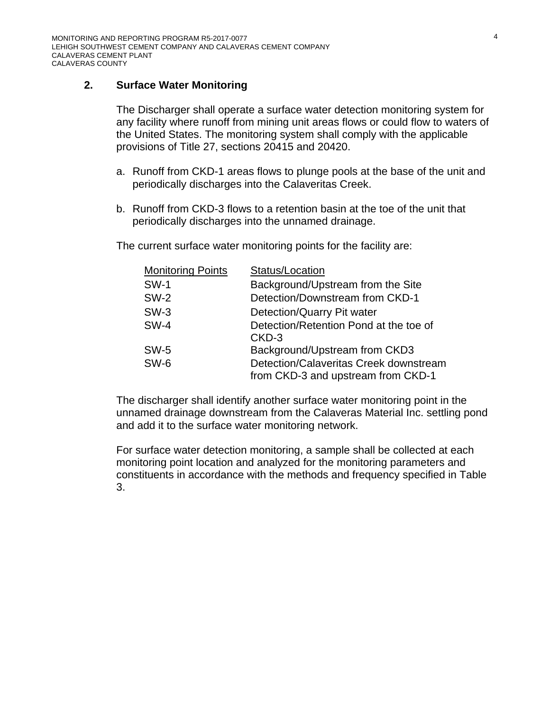### **2. Surface Water Monitoring**

The Discharger shall operate a surface water detection monitoring system for any facility where runoff from mining unit areas flows or could flow to waters of the United States. The monitoring system shall comply with the applicable provisions of Title 27, sections 20415 and 20420.

- a. Runoff from CKD-1 areas flows to plunge pools at the base of the unit and periodically discharges into the Calaveritas Creek.
- b. Runoff from CKD-3 flows to a retention basin at the toe of the unit that periodically discharges into the unnamed drainage.

The current surface water monitoring points for the facility are:

| <b>Monitoring Points</b> | Status/Location                        |
|--------------------------|----------------------------------------|
| <b>SW-1</b>              | Background/Upstream from the Site      |
| <b>SW-2</b>              | Detection/Downstream from CKD-1        |
| $SW-3$                   | Detection/Quarry Pit water             |
| $SW-4$                   | Detection/Retention Pond at the toe of |
|                          | CKD-3                                  |
| <b>SW-5</b>              | Background/Upstream from CKD3          |
| <b>SW-6</b>              | Detection/Calaveritas Creek downstream |
|                          | from CKD-3 and upstream from CKD-1     |

The discharger shall identify another surface water monitoring point in the unnamed drainage downstream from the Calaveras Material Inc. settling pond and add it to the surface water monitoring network.

For surface water detection monitoring, a sample shall be collected at each monitoring point location and analyzed for the monitoring parameters and constituents in accordance with the methods and frequency specified in Table 3.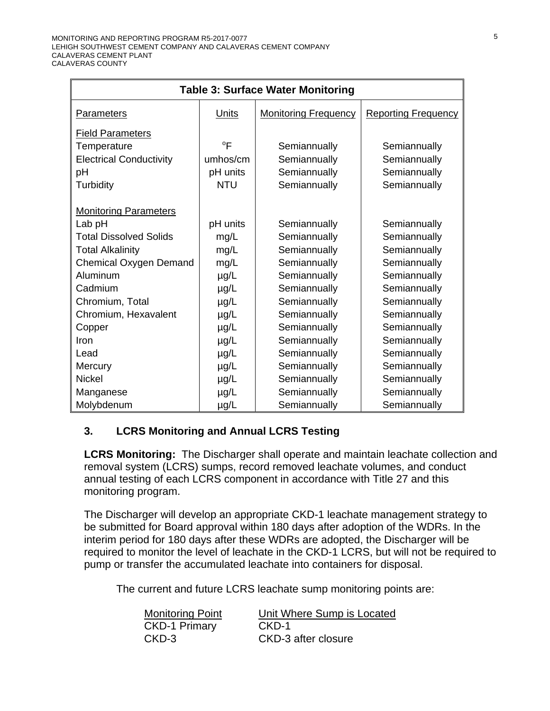| <b>Table 3: Surface Water Monitoring</b> |                |                             |                            |
|------------------------------------------|----------------|-----------------------------|----------------------------|
| Parameters                               | Units          | <b>Monitoring Frequency</b> | <b>Reporting Frequency</b> |
| <b>Field Parameters</b>                  |                |                             |                            |
| Temperature                              | $\overline{P}$ | Semiannually                | Semiannually               |
| <b>Electrical Conductivity</b>           | umhos/cm       | Semiannually                | Semiannually               |
| pH                                       | pH units       | Semiannually                | Semiannually               |
| Turbidity                                | <b>NTU</b>     | Semiannually                | Semiannually               |
|                                          |                |                             |                            |
| <b>Monitoring Parameters</b>             |                |                             |                            |
| Lab pH                                   | pH units       | Semiannually                | Semiannually               |
| <b>Total Dissolved Solids</b>            | mg/L           | Semiannually                | Semiannually               |
| <b>Total Alkalinity</b>                  | mg/L           | Semiannually                | Semiannually               |
| Chemical Oxygen Demand                   | mg/L           | Semiannually                | Semiannually               |
| Aluminum                                 | $\mu$ g/L      | Semiannually                | Semiannually               |
| Cadmium                                  | $\mu$ g/L      | Semiannually                | Semiannually               |
| Chromium, Total                          | $\mu$ g/L      | Semiannually                | Semiannually               |
| Chromium, Hexavalent                     | $\mu$ g/L      | Semiannually                | Semiannually               |
| Copper                                   | $\mu$ g/L      | Semiannually                | Semiannually               |
| Iron                                     | $\mu$ g/L      | Semiannually                | Semiannually               |
| Lead                                     | $\mu$ g/L      | Semiannually                | Semiannually               |
| Mercury                                  | $\mu$ g/L      | Semiannually                | Semiannually               |
| <b>Nickel</b>                            | $\mu$ g/L      | Semiannually                | Semiannually               |
| Manganese                                | $\mu$ g/L      | Semiannually                | Semiannually               |
| Molybdenum                               | $\mu$ g/L      | Semiannually                | Semiannually               |

# **3. LCRS Monitoring and Annual LCRS Testing**

**LCRS Monitoring:** The Discharger shall operate and maintain leachate collection and removal system (LCRS) sumps, record removed leachate volumes, and conduct annual testing of each LCRS component in accordance with Title 27 and this monitoring program.

The Discharger will develop an appropriate CKD-1 leachate management strategy to be submitted for Board approval within 180 days after adoption of the WDRs. In the interim period for 180 days after these WDRs are adopted, the Discharger will be required to monitor the level of leachate in the CKD-1 LCRS, but will not be required to pump or transfer the accumulated leachate into containers for disposal.

The current and future LCRS leachate sump monitoring points are:

| <b>Monitoring Point</b> | Unit Where Sump is Located |
|-------------------------|----------------------------|
| <b>CKD-1 Primary</b>    | CKD-1                      |
| CKD-3                   | CKD-3 after closure        |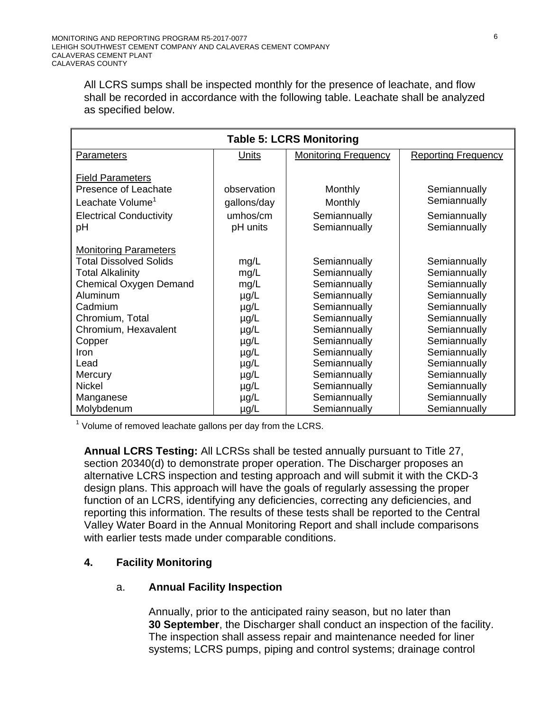All LCRS sumps shall be inspected monthly for the presence of leachate, and flow shall be recorded in accordance with the following table. Leachate shall be analyzed as specified below.

| <b>Table 5: LCRS Monitoring</b> |             |                             |                            |  |
|---------------------------------|-------------|-----------------------------|----------------------------|--|
| <b>Parameters</b>               | Units       | <b>Monitoring Frequency</b> | <b>Reporting Frequency</b> |  |
|                                 |             |                             |                            |  |
| <b>Field Parameters</b>         |             |                             |                            |  |
| Presence of Leachate            | observation | Monthly                     | Semiannually               |  |
| Leachate Volume <sup>1</sup>    | gallons/day | Monthly                     | Semiannually               |  |
| <b>Electrical Conductivity</b>  | umhos/cm    | Semiannually                | Semiannually               |  |
| рH                              | pH units    | Semiannually                | Semiannually               |  |
|                                 |             |                             |                            |  |
| <b>Monitoring Parameters</b>    |             |                             |                            |  |
| <b>Total Dissolved Solids</b>   | mg/L        | Semiannually                | Semiannually               |  |
| <b>Total Alkalinity</b>         | mg/L        | Semiannually                | Semiannually               |  |
| <b>Chemical Oxygen Demand</b>   | mg/L        | Semiannually                | Semiannually               |  |
| Aluminum                        | $\mu$ g/L   | Semiannually                | Semiannually               |  |
| Cadmium                         | $\mu$ g/L   | Semiannually                | Semiannually               |  |
| Chromium, Total                 | µg/L        | Semiannually                | Semiannually               |  |
| Chromium, Hexavalent            | $\mu$ g/L   | Semiannually                | Semiannually               |  |
| Copper                          | $\mu$ g/L   | Semiannually                | Semiannually               |  |
| Iron                            | $\mu$ g/L   | Semiannually                | Semiannually               |  |
| Lead                            | $\mu$ g/L   | Semiannually                | Semiannually               |  |
| Mercury                         | $\mu$ g/L   | Semiannually                | Semiannually               |  |
| <b>Nickel</b>                   | $\mu$ g/L   | Semiannually                | Semiannually               |  |
| Manganese                       | $\mu$ g/L   | Semiannually                | Semiannually               |  |
| Molybdenum                      | µg/L        | Semiannually                | Semiannually               |  |

 $1$  Volume of removed leachate gallons per day from the LCRS.

**Annual LCRS Testing:** All LCRSs shall be tested annually pursuant to Title 27, section 20340(d) to demonstrate proper operation. The Discharger proposes an alternative LCRS inspection and testing approach and will submit it with the CKD-3 design plans. This approach will have the goals of regularly assessing the proper function of an LCRS, identifying any deficiencies, correcting any deficiencies, and reporting this information. The results of these tests shall be reported to the Central Valley Water Board in the Annual Monitoring Report and shall include comparisons with earlier tests made under comparable conditions.

### **4. Facility Monitoring**

### a. **Annual Facility Inspection**

Annually, prior to the anticipated rainy season, but no later than **30 September**, the Discharger shall conduct an inspection of the facility. The inspection shall assess repair and maintenance needed for liner systems; LCRS pumps, piping and control systems; drainage control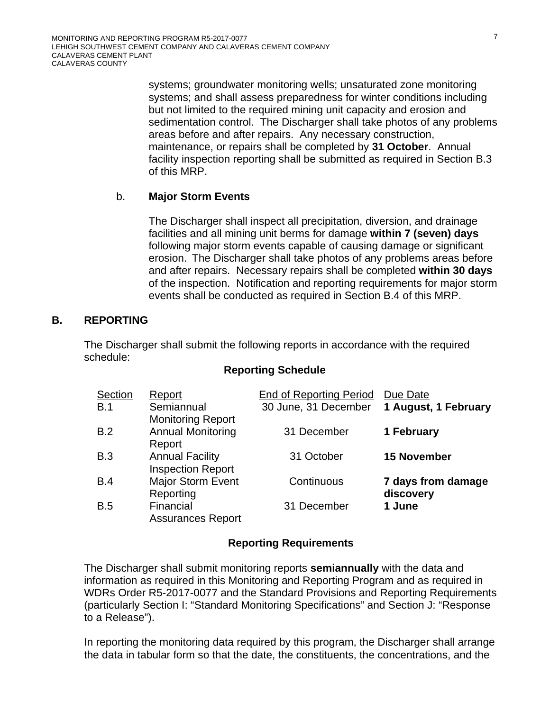systems; groundwater monitoring wells; unsaturated zone monitoring systems; and shall assess preparedness for winter conditions including but not limited to the required mining unit capacity and erosion and sedimentation control. The Discharger shall take photos of any problems areas before and after repairs. Any necessary construction, maintenance, or repairs shall be completed by **31 October**. Annual facility inspection reporting shall be submitted as required in Section B.3 of this MRP.

### b. **Major Storm Events**

The Discharger shall inspect all precipitation, diversion, and drainage facilities and all mining unit berms for damage **within 7 (seven) days** following major storm events capable of causing damage or significant erosion. The Discharger shall take photos of any problems areas before and after repairs. Necessary repairs shall be completed **within 30 days** of the inspection. Notification and reporting requirements for major storm events shall be conducted as required in Section B.4 of this MRP.

### **B. REPORTING**

The Discharger shall submit the following reports in accordance with the required schedule:

#### **Reporting Schedule**

| Section | Report                   | <b>End of Reporting Period</b> | Due Date             |
|---------|--------------------------|--------------------------------|----------------------|
| B.1     | Semiannual               | 30 June, 31 December           | 1 August, 1 February |
|         | <b>Monitoring Report</b> |                                |                      |
| B.2     | <b>Annual Monitoring</b> | 31 December                    | 1 February           |
|         | Report                   |                                |                      |
| B.3     | <b>Annual Facility</b>   | 31 October                     | <b>15 November</b>   |
|         | <b>Inspection Report</b> |                                |                      |
| B.4     | <b>Major Storm Event</b> | Continuous                     | 7 days from damage   |
|         | Reporting                |                                | discovery            |
| B.5     | Financial                | 31 December                    | 1 June               |
|         | <b>Assurances Report</b> |                                |                      |

#### **Reporting Requirements**

The Discharger shall submit monitoring reports **semiannually** with the data and information as required in this Monitoring and Reporting Program and as required in WDRs Order R5-2017-0077 and the Standard Provisions and Reporting Requirements (particularly Section I: "Standard Monitoring Specifications" and Section J: "Response to a Release").

In reporting the monitoring data required by this program, the Discharger shall arrange the data in tabular form so that the date, the constituents, the concentrations, and the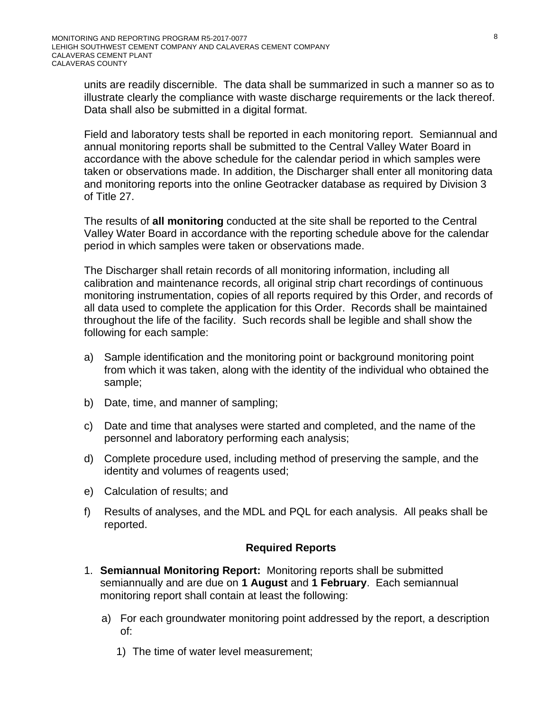units are readily discernible. The data shall be summarized in such a manner so as to illustrate clearly the compliance with waste discharge requirements or the lack thereof. Data shall also be submitted in a digital format.

Field and laboratory tests shall be reported in each monitoring report. Semiannual and annual monitoring reports shall be submitted to the Central Valley Water Board in accordance with the above schedule for the calendar period in which samples were taken or observations made. In addition, the Discharger shall enter all monitoring data and monitoring reports into the online Geotracker database as required by Division 3 of Title 27.

 The results of **all monitoring** conducted at the site shall be reported to the Central Valley Water Board in accordance with the reporting schedule above for the calendar period in which samples were taken or observations made.

The Discharger shall retain records of all monitoring information, including all calibration and maintenance records, all original strip chart recordings of continuous monitoring instrumentation, copies of all reports required by this Order, and records of all data used to complete the application for this Order. Records shall be maintained throughout the life of the facility. Such records shall be legible and shall show the following for each sample:

- a) Sample identification and the monitoring point or background monitoring point from which it was taken, along with the identity of the individual who obtained the sample;
- b) Date, time, and manner of sampling;
- c) Date and time that analyses were started and completed, and the name of the personnel and laboratory performing each analysis;
- d) Complete procedure used, including method of preserving the sample, and the identity and volumes of reagents used;
- e) Calculation of results; and
- f) Results of analyses, and the MDL and PQL for each analysis. All peaks shall be reported.

#### **Required Reports**

- 1. **Semiannual Monitoring Report:** Monitoring reports shall be submitted semiannually and are due on **1 August** and **1 February**. Each semiannual monitoring report shall contain at least the following:
	- a) For each groundwater monitoring point addressed by the report, a description of:
		- 1) The time of water level measurement;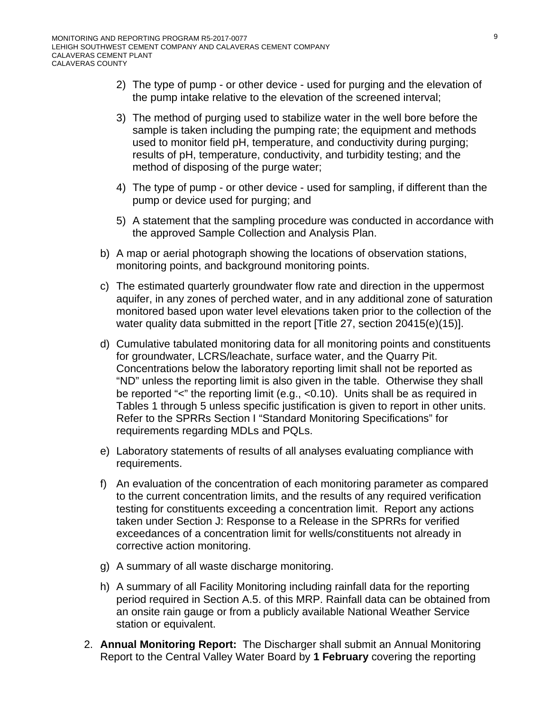- 2) The type of pump or other device used for purging and the elevation of the pump intake relative to the elevation of the screened interval;
- 3) The method of purging used to stabilize water in the well bore before the sample is taken including the pumping rate; the equipment and methods used to monitor field pH, temperature, and conductivity during purging; results of pH, temperature, conductivity, and turbidity testing; and the method of disposing of the purge water;
- 4) The type of pump or other device used for sampling, if different than the pump or device used for purging; and
- 5) A statement that the sampling procedure was conducted in accordance with the approved Sample Collection and Analysis Plan.
- b) A map or aerial photograph showing the locations of observation stations, monitoring points, and background monitoring points.
- c) The estimated quarterly groundwater flow rate and direction in the uppermost aquifer, in any zones of perched water, and in any additional zone of saturation monitored based upon water level elevations taken prior to the collection of the water quality data submitted in the report [Title 27, section 20415(e)(15)].
- d) Cumulative tabulated monitoring data for all monitoring points and constituents for groundwater, LCRS/leachate, surface water, and the Quarry Pit. Concentrations below the laboratory reporting limit shall not be reported as "ND" unless the reporting limit is also given in the table. Otherwise they shall be reported "<" the reporting limit (e.g., <0.10). Units shall be as required in Tables 1 through 5 unless specific justification is given to report in other units. Refer to the SPRRs Section I "Standard Monitoring Specifications" for requirements regarding MDLs and PQLs.
- e) Laboratory statements of results of all analyses evaluating compliance with requirements.
- f) An evaluation of the concentration of each monitoring parameter as compared to the current concentration limits, and the results of any required verification testing for constituents exceeding a concentration limit. Report any actions taken under Section J: Response to a Release in the SPRRs for verified exceedances of a concentration limit for wells/constituents not already in corrective action monitoring.
- g) A summary of all waste discharge monitoring.
- h) A summary of all Facility Monitoring including rainfall data for the reporting period required in Section A.5. of this MRP. Rainfall data can be obtained from an onsite rain gauge or from a publicly available National Weather Service station or equivalent.
- 2. **Annual Monitoring Report:** The Discharger shall submit an Annual Monitoring Report to the Central Valley Water Board by **1 February** covering the reporting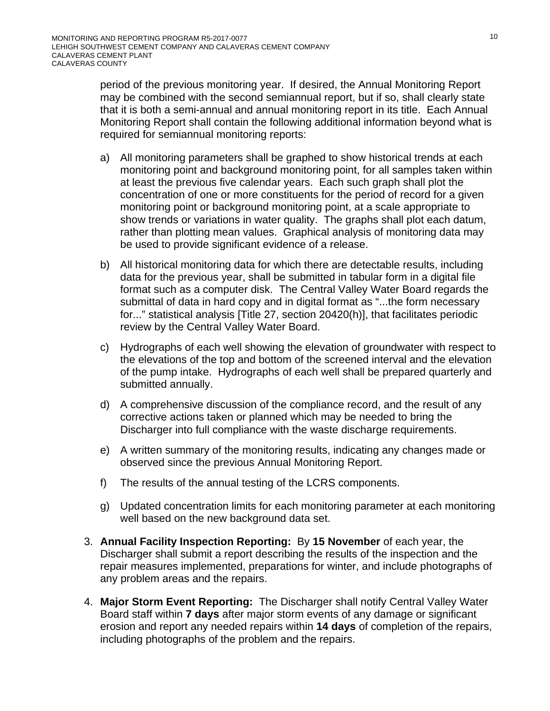period of the previous monitoring year. If desired, the Annual Monitoring Report may be combined with the second semiannual report, but if so, shall clearly state that it is both a semi-annual and annual monitoring report in its title. Each Annual Monitoring Report shall contain the following additional information beyond what is required for semiannual monitoring reports:

- a) All monitoring parameters shall be graphed to show historical trends at each monitoring point and background monitoring point, for all samples taken within at least the previous five calendar years. Each such graph shall plot the concentration of one or more constituents for the period of record for a given monitoring point or background monitoring point, at a scale appropriate to show trends or variations in water quality. The graphs shall plot each datum, rather than plotting mean values. Graphical analysis of monitoring data may be used to provide significant evidence of a release.
- b) All historical monitoring data for which there are detectable results, including data for the previous year, shall be submitted in tabular form in a digital file format such as a computer disk. The Central Valley Water Board regards the submittal of data in hard copy and in digital format as "...the form necessary for..." statistical analysis [Title 27, section 20420(h)], that facilitates periodic review by the Central Valley Water Board.
- c) Hydrographs of each well showing the elevation of groundwater with respect to the elevations of the top and bottom of the screened interval and the elevation of the pump intake. Hydrographs of each well shall be prepared quarterly and submitted annually.
- d) A comprehensive discussion of the compliance record, and the result of any corrective actions taken or planned which may be needed to bring the Discharger into full compliance with the waste discharge requirements.
- e) A written summary of the monitoring results, indicating any changes made or observed since the previous Annual Monitoring Report.
- f) The results of the annual testing of the LCRS components.
- g) Updated concentration limits for each monitoring parameter at each monitoring well based on the new background data set.
- 3. **Annual Facility Inspection Reporting:** By **15 November** of each year, the Discharger shall submit a report describing the results of the inspection and the repair measures implemented, preparations for winter, and include photographs of any problem areas and the repairs.
- 4. **Major Storm Event Reporting:** The Discharger shall notify Central Valley Water Board staff within **7 days** after major storm events of any damage or significant erosion and report any needed repairs within **14 days** of completion of the repairs, including photographs of the problem and the repairs.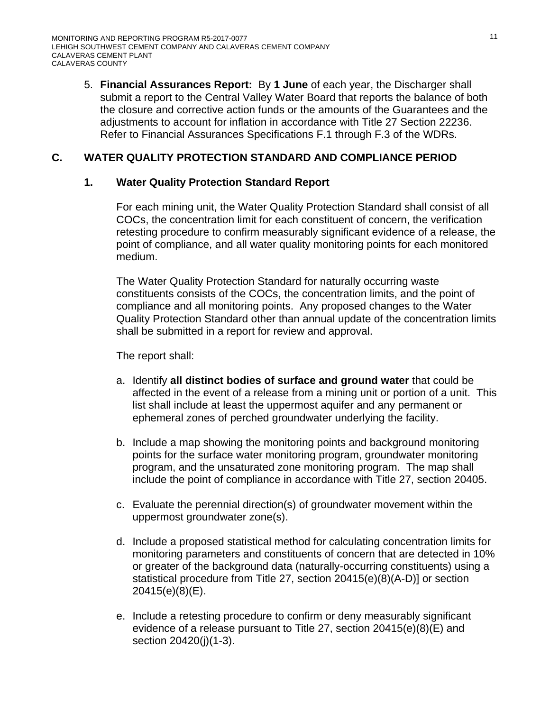5. **Financial Assurances Report:** By **1 June** of each year, the Discharger shall submit a report to the Central Valley Water Board that reports the balance of both the closure and corrective action funds or the amounts of the Guarantees and the adjustments to account for inflation in accordance with Title 27 Section 22236. Refer to Financial Assurances Specifications F.1 through F.3 of the WDRs.

# **C. WATER QUALITY PROTECTION STANDARD AND COMPLIANCE PERIOD**

### **1. Water Quality Protection Standard Report**

 For each mining unit, the Water Quality Protection Standard shall consist of all COCs, the concentration limit for each constituent of concern, the verification retesting procedure to confirm measurably significant evidence of a release, the point of compliance, and all water quality monitoring points for each monitored medium.

 The Water Quality Protection Standard for naturally occurring waste constituents consists of the COCs, the concentration limits, and the point of compliance and all monitoring points. Any proposed changes to the Water Quality Protection Standard other than annual update of the concentration limits shall be submitted in a report for review and approval.

The report shall:

- a. Identify **all distinct bodies of surface and ground water** that could be affected in the event of a release from a mining unit or portion of a unit. This list shall include at least the uppermost aquifer and any permanent or ephemeral zones of perched groundwater underlying the facility.
- b. Include a map showing the monitoring points and background monitoring points for the surface water monitoring program, groundwater monitoring program, and the unsaturated zone monitoring program. The map shall include the point of compliance in accordance with Title 27, section 20405.
- c. Evaluate the perennial direction(s) of groundwater movement within the uppermost groundwater zone(s).
- d. Include a proposed statistical method for calculating concentration limits for monitoring parameters and constituents of concern that are detected in 10% or greater of the background data (naturally-occurring constituents) using a statistical procedure from Title 27, section 20415(e)(8)(A-D)] or section 20415(e)(8)(E).
- e. Include a retesting procedure to confirm or deny measurably significant evidence of a release pursuant to Title 27, section 20415(e)(8)(E) and section 20420(j)(1-3).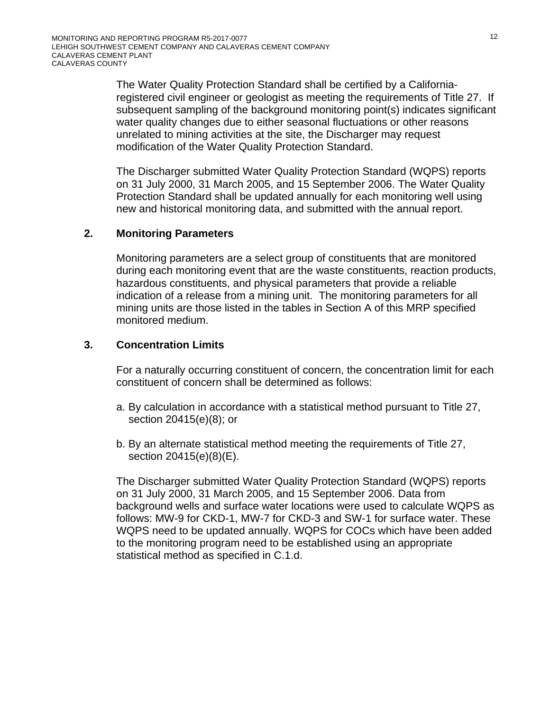The Water Quality Protection Standard shall be certified by a Californiaregistered civil engineer or geologist as meeting the requirements of Title 27. If subsequent sampling of the background monitoring point(s) indicates significant water quality changes due to either seasonal fluctuations or other reasons unrelated to mining activities at the site, the Discharger may request modification of the Water Quality Protection Standard.

The Discharger submitted Water Quality Protection Standard (WQPS) reports on 31 July 2000, 31 March 2005, and 15 September 2006. The Water Quality Protection Standard shall be updated annually for each monitoring well using new and historical monitoring data, and submitted with the annual report.

### **2. Monitoring Parameters**

Monitoring parameters are a select group of constituents that are monitored during each monitoring event that are the waste constituents, reaction products, hazardous constituents, and physical parameters that provide a reliable indication of a release from a mining unit. The monitoring parameters for all mining units are those listed in the tables in Section A of this MRP specified monitored medium.

#### **3. Concentration Limits**

 For a naturally occurring constituent of concern, the concentration limit for each constituent of concern shall be determined as follows:

- a. By calculation in accordance with a statistical method pursuant to Title 27, section 20415(e)(8); or
- b. By an alternate statistical method meeting the requirements of Title 27, section 20415(e)(8)(E).

 The Discharger submitted Water Quality Protection Standard (WQPS) reports on 31 July 2000, 31 March 2005, and 15 September 2006. Data from background wells and surface water locations were used to calculate WQPS as follows: MW-9 for CKD-1, MW-7 for CKD-3 and SW-1 for surface water. These WQPS need to be updated annually. WQPS for COCs which have been added to the monitoring program need to be established using an appropriate statistical method as specified in C.1.d.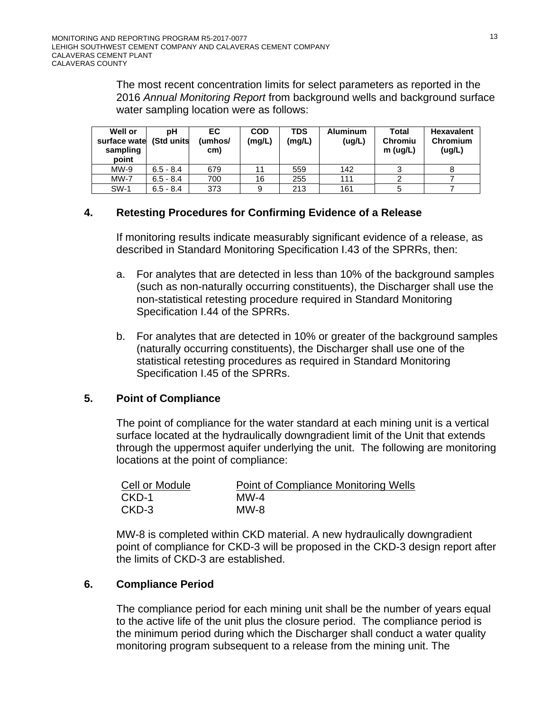The most recent concentration limits for select parameters as reported in the 2016 *Annual Monitoring Report* from background wells and background surface water sampling location were as follows:

| <b>Well or</b><br>surface wate<br>sampling<br>point | pН<br>(Std units | EC.<br>(umhos/<br>cm) | <b>COD</b><br>(mg/L) | <b>TDS</b><br>(mg/L) | <b>Aluminum</b><br>(ug/L) | Total<br><b>Chromiu</b><br>m (uq/L) | <b>Hexavalent</b><br>Chromium<br>(ug/L) |
|-----------------------------------------------------|------------------|-----------------------|----------------------|----------------------|---------------------------|-------------------------------------|-----------------------------------------|
| $MW-9$                                              | $6.5 - 8.4$      | 679                   | 11                   | 559                  | 142                       |                                     |                                         |
| $MW-7$                                              | $6.5 - 8.4$      | 700                   | 16                   | 255                  | 111                       |                                     |                                         |
| <b>SW-1</b>                                         | $6.5 - 8.4$      | 373                   |                      | 213                  | 161                       |                                     |                                         |

### **4. Retesting Procedures for Confirming Evidence of a Release**

If monitoring results indicate measurably significant evidence of a release, as described in Standard Monitoring Specification I.43 of the SPRRs, then:

- a. For analytes that are detected in less than 10% of the background samples (such as non-naturally occurring constituents), the Discharger shall use the non-statistical retesting procedure required in Standard Monitoring Specification I.44 of the SPRRs.
- b. For analytes that are detected in 10% or greater of the background samples (naturally occurring constituents), the Discharger shall use one of the statistical retesting procedures as required in Standard Monitoring Specification I.45 of the SPRRs.

### **5. Point of Compliance**

 The point of compliance for the water standard at each mining unit is a vertical surface located at the hydraulically downgradient limit of the Unit that extends through the uppermost aquifer underlying the unit. The following are monitoring locations at the point of compliance:

| Cell or Module | Point of Compliance Monitoring Wells |
|----------------|--------------------------------------|
| CKD-1          | $M$ W-4                              |
| CKD-3          | MW-8                                 |

MW-8 is completed within CKD material. A new hydraulically downgradient point of compliance for CKD-3 will be proposed in the CKD-3 design report after the limits of CKD-3 are established.

### **6. Compliance Period**

 The compliance period for each mining unit shall be the number of years equal to the active life of the unit plus the closure period. The compliance period is the minimum period during which the Discharger shall conduct a water quality monitoring program subsequent to a release from the mining unit. The